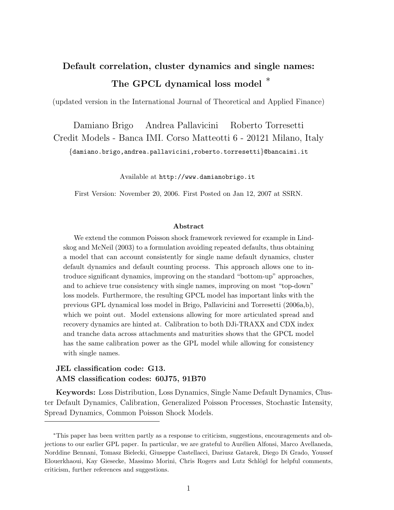# Default correlation, cluster dynamics and single names: The GPCL dynamical loss model  $*$

(updated version in the International Journal of Theoretical and Applied Finance)

Damiano Brigo Andrea Pallavicini Roberto Torresetti Credit Models - Banca IMI. Corso Matteotti 6 - 20121 Milano, Italy {damiano.brigo,andrea.pallavicini,roberto.torresetti}@bancaimi.it

Available at http://www.damianobrigo.it

First Version: November 20, 2006. First Posted on Jan 12, 2007 at SSRN.

#### Abstract

We extend the common Poisson shock framework reviewed for example in Lindskog and McNeil (2003) to a formulation avoiding repeated defaults, thus obtaining a model that can account consistently for single name default dynamics, cluster default dynamics and default counting process. This approach allows one to introduce significant dynamics, improving on the standard "bottom-up" approaches, and to achieve true consistency with single names, improving on most "top-down" loss models. Furthermore, the resulting GPCL model has important links with the previous GPL dynamical loss model in Brigo, Pallavicini and Torresetti (2006a,b), which we point out. Model extensions allowing for more articulated spread and recovery dynamics are hinted at. Calibration to both DJi-TRAXX and CDX index and tranche data across attachments and maturities shows that the GPCL model has the same calibration power as the GPL model while allowing for consistency with single names.

#### JEL classification code: G13. AMS classification codes: 60J75, 91B70

Keywords: Loss Distribution, Loss Dynamics, Single Name Default Dynamics, Cluster Default Dynamics, Calibration, Generalized Poisson Processes, Stochastic Intensity, Spread Dynamics, Common Poisson Shock Models.

<sup>∗</sup>This paper has been written partly as a response to criticism, suggestions, encouragements and objections to our earlier GPL paper. In particular, we are grateful to Aurélien Alfonsi, Marco Avellaneda, Norddine Bennani, Tomasz Bielecki, Giuseppe Castellacci, Dariusz Gatarek, Diego Di Grado, Youssef Elouerkhaoui, Kay Giesecke, Massimo Morini, Chris Rogers and Lutz Schlögl for helpful comments, criticism, further references and suggestions.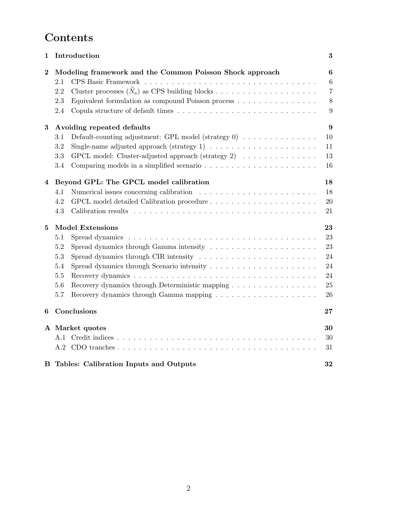# Contents

| 1        | Introduction                                                                                   | $\boldsymbol{3}$ |
|----------|------------------------------------------------------------------------------------------------|------------------|
| $\bf{2}$ | Modeling framework and the Common Poisson Shock approach                                       | 6                |
|          | 2.1                                                                                            | 6                |
|          | 2.2                                                                                            | $\overline{7}$   |
|          | Equivalent formulation as compound Poisson process<br>2.3                                      | $8\,$            |
|          | 2.4                                                                                            | 9                |
| 3        | Avoiding repeated defaults                                                                     | 9                |
|          | Default-counting adjustment: GPL model (strategy $0$ ) $\ldots$<br>$3.1\,$                     | 10               |
|          | 3.2                                                                                            | 11               |
|          | GPCL model: Cluster-adjusted approach (strategy 2) $\ldots \ldots \ldots \ldots$<br>$\!.3$     | 13               |
|          | 3.4                                                                                            | 16               |
| 4        | Beyond GPL: The GPCL model calibration                                                         | 18               |
|          | 4.1                                                                                            | 18               |
|          | 4.2                                                                                            | $20\,$           |
|          | 4.3                                                                                            | 21               |
| 5        | <b>Model Extensions</b>                                                                        | 23               |
|          | 5.1                                                                                            | 23               |
|          | 5.2                                                                                            | 23               |
|          | Spread dynamics through CIR intensity $\dots \dots \dots \dots \dots \dots \dots \dots$<br>5.3 | 24               |
|          | 5.4                                                                                            | 24               |
|          | 5.5                                                                                            | 24               |
|          | Recovery dynamics through Deterministic mapping<br>5.6                                         | 25               |
|          | 5.7                                                                                            | 26               |
| 6        | Conclusions                                                                                    | 27               |
|          | A Market quotes                                                                                | 30               |
|          | A.1                                                                                            | 30               |
|          | A.2                                                                                            | 31               |
| В        | Tables: Calibration Inputs and Outputs                                                         | 32               |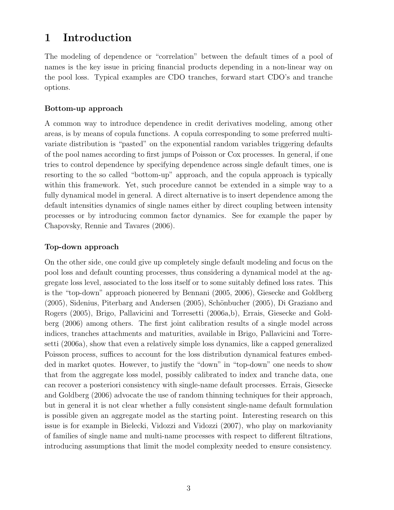# 1 Introduction

The modeling of dependence or "correlation" between the default times of a pool of names is the key issue in pricing financial products depending in a non-linear way on the pool loss. Typical examples are CDO tranches, forward start CDO's and tranche options.

#### Bottom-up approach

A common way to introduce dependence in credit derivatives modeling, among other areas, is by means of copula functions. A copula corresponding to some preferred multivariate distribution is "pasted" on the exponential random variables triggering defaults of the pool names according to first jumps of Poisson or Cox processes. In general, if one tries to control dependence by specifying dependence across single default times, one is resorting to the so called "bottom-up" approach, and the copula approach is typically within this framework. Yet, such procedure cannot be extended in a simple way to a fully dynamical model in general. A direct alternative is to insert dependence among the default intensities dynamics of single names either by direct coupling between intensity processes or by introducing common factor dynamics. See for example the paper by Chapovsky, Rennie and Tavares (2006).

#### Top-down approach

On the other side, one could give up completely single default modeling and focus on the pool loss and default counting processes, thus considering a dynamical model at the aggregate loss level, associated to the loss itself or to some suitably defined loss rates. This is the "top-down" approach pioneered by Bennani (2005, 2006), Giesecke and Goldberg (2005), Sidenius, Piterbarg and Andersen (2005), Schönbucher (2005), Di Graziano and Rogers (2005), Brigo, Pallavicini and Torresetti (2006a,b), Errais, Giesecke and Goldberg (2006) among others. The first joint calibration results of a single model across indices, tranches attachments and maturities, available in Brigo, Pallavicini and Torresetti (2006a), show that even a relatively simple loss dynamics, like a capped generalized Poisson process, suffices to account for the loss distribution dynamical features embedded in market quotes. However, to justify the "down" in "top-down" one needs to show that from the aggregate loss model, possibly calibrated to index and tranche data, one can recover a posteriori consistency with single-name default processes. Errais, Giesecke and Goldberg (2006) advocate the use of random thinning techniques for their approach, but in general it is not clear whether a fully consistent single-name default formulation is possible given an aggregate model as the starting point. Interesting research on this issue is for example in Bielecki, Vidozzi and Vidozzi (2007), who play on markovianity of families of single name and multi-name processes with respect to different filtrations, introducing assumptions that limit the model complexity needed to ensure consistency.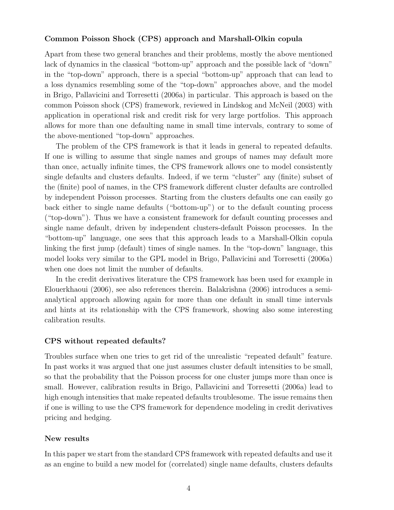#### Common Poisson Shock (CPS) approach and Marshall-Olkin copula

Apart from these two general branches and their problems, mostly the above mentioned lack of dynamics in the classical "bottom-up" approach and the possible lack of "down" in the "top-down" approach, there is a special "bottom-up" approach that can lead to a loss dynamics resembling some of the "top-down" approaches above, and the model in Brigo, Pallavicini and Torresetti (2006a) in particular. This approach is based on the common Poisson shock (CPS) framework, reviewed in Lindskog and McNeil (2003) with application in operational risk and credit risk for very large portfolios. This approach allows for more than one defaulting name in small time intervals, contrary to some of the above-mentioned "top-down" approaches.

The problem of the CPS framework is that it leads in general to repeated defaults. If one is willing to assume that single names and groups of names may default more than once, actually infinite times, the CPS framework allows one to model consistently single defaults and clusters defaults. Indeed, if we term "cluster" any (finite) subset of the (finite) pool of names, in the CPS framework different cluster defaults are controlled by independent Poisson processes. Starting from the clusters defaults one can easily go back either to single name defaults ("bottom-up") or to the default counting process ("top-down"). Thus we have a consistent framework for default counting processes and single name default, driven by independent clusters-default Poisson processes. In the "bottom-up" language, one sees that this approach leads to a Marshall-Olkin copula linking the first jump (default) times of single names. In the "top-down" language, this model looks very similar to the GPL model in Brigo, Pallavicini and Torresetti (2006a) when one does not limit the number of defaults.

In the credit derivatives literature the CPS framework has been used for example in Elouerkhaoui (2006), see also references therein. Balakrishna (2006) introduces a semianalytical approach allowing again for more than one default in small time intervals and hints at its relationship with the CPS framework, showing also some interesting calibration results.

#### CPS without repeated defaults?

Troubles surface when one tries to get rid of the unrealistic "repeated default" feature. In past works it was argued that one just assumes cluster default intensities to be small, so that the probability that the Poisson process for one cluster jumps more than once is small. However, calibration results in Brigo, Pallavicini and Torresetti (2006a) lead to high enough intensities that make repeated defaults troublesome. The issue remains then if one is willing to use the CPS framework for dependence modeling in credit derivatives pricing and hedging.

#### New results

In this paper we start from the standard CPS framework with repeated defaults and use it as an engine to build a new model for (correlated) single name defaults, clusters defaults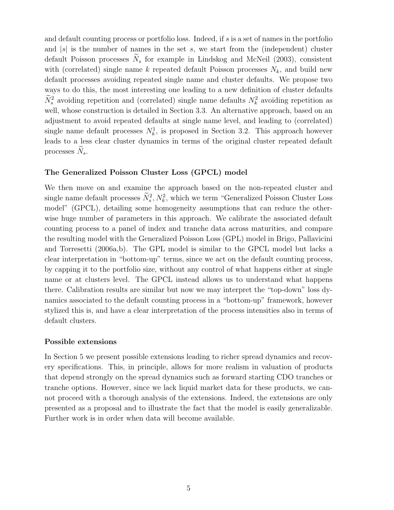and default counting process or portfolio loss. Indeed, if  $s$  is a set of names in the portfolio and  $|s|$  is the number of names in the set s, we start from the (independent) cluster default Poisson processes  $\widetilde{N}_s$  for example in Lindskog and McNeil (2003), consistent with (correlated) single name  $k$  repeated default Poisson processes  $N_k$ , and build new default processes avoiding repeated single name and cluster defaults. We propose two ways to do this, the most interesting one leading to a new definition of cluster defaults  $\widetilde{N}_s^2$  avoiding repetition and (correlated) single name defaults  $N_k^2$  avoiding repetition as well, whose construction is detailed in Section 3.3. An alternative approach, based on an adjustment to avoid repeated defaults at single name level, and leading to (correlated) single name default processes  $N_k^1$ , is proposed in Section 3.2. This approach however leads to a less clear cluster dynamics in terms of the original cluster repeated default processes  $N_s$ .

#### The Generalized Poisson Cluster Loss (GPCL) model

We then move on and examine the approach based on the non-repeated cluster and single name default processes  $\widetilde{N}_s^2, N_k^2$ , which we term "Generalized Poisson Cluster Loss model" (GPCL), detailing some homogeneity assumptions that can reduce the otherwise huge number of parameters in this approach. We calibrate the associated default counting process to a panel of index and tranche data across maturities, and compare the resulting model with the Generalized Poisson Loss (GPL) model in Brigo, Pallavicini and Torresetti (2006a,b). The GPL model is similar to the GPCL model but lacks a clear interpretation in "bottom-up" terms, since we act on the default counting process, by capping it to the portfolio size, without any control of what happens either at single name or at clusters level. The GPCL instead allows us to understand what happens there. Calibration results are similar but now we may interpret the "top-down" loss dynamics associated to the default counting process in a "bottom-up" framework, however stylized this is, and have a clear interpretation of the process intensities also in terms of default clusters.

#### Possible extensions

In Section 5 we present possible extensions leading to richer spread dynamics and recovery specifications. This, in principle, allows for more realism in valuation of products that depend strongly on the spread dynamics such as forward starting CDO tranches or tranche options. However, since we lack liquid market data for these products, we cannot proceed with a thorough analysis of the extensions. Indeed, the extensions are only presented as a proposal and to illustrate the fact that the model is easily generalizable. Further work is in order when data will become available.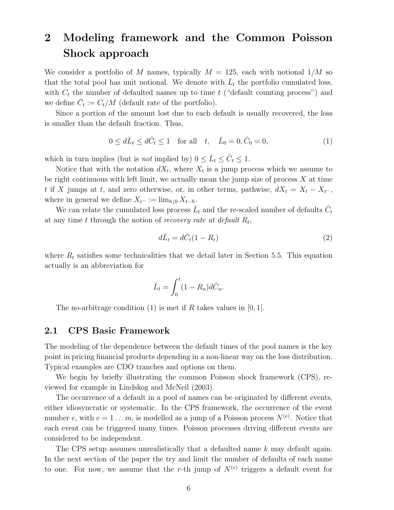# 2 Modeling framework and the Common Poisson Shock approach

We consider a portfolio of M names, typically  $M = 125$ , each with notional  $1/M$  so that the total pool has unit notional. We denote with  $\bar{L}_t$  the portfolio cumulated loss, with  $C_t$  the number of defaulted names up to time t ("default counting process") and we define  $\bar{C}_t := C_t/M$  (default rate of the portfolio).

Since a portion of the amount lost due to each default is usually recovered, the loss is smaller than the default fraction. Thus,

$$
0 \le d\bar{L}_t \le d\bar{C}_t \le 1
$$
 for all  $t, \bar{L}_0 = 0, \bar{C}_0 = 0,$  (1)

which in turn implies (but is *not* implied by)  $0 \le \bar{L}_t \le \bar{C}_t \le 1$ .

Notice that with the notation  $dX_t$ , where  $X_t$  is a jump process which we assume to be right continuous with left limit, we actually mean the jump size of process  $X$  at time t if X jumps at t, and zero otherwise, or, in other terms, pathwise,  $dX_t = X_t - X_{t-}$ , where in general we define  $X_{t^-} := \lim_{h \downarrow 0} X_{t-h}$ .

We can relate the cumulated loss process  $\bar{L}_t$  and the re-scaled number of defaults  $\bar{C}_t$ at any time t through the notion of recovery rate at default  $R_t$ ,

$$
d\bar{L}_t = d\bar{C}_t(1 - R_t) \tag{2}
$$

where  $R_t$  satisfies some technicalities that we detail later in Section 5.5. This equation actually is an abbreviation for

$$
\bar{L}_t = \int_0^t (1 - R_u) d\bar{C}_u.
$$

The no-arbitrage condition  $(1)$  is met if R takes values in  $[0, 1]$ .

#### 2.1 CPS Basic Framework

The modeling of the dependence between the default times of the pool names is the key point in pricing financial products depending in a non-linear way on the loss distribution. Typical examples are CDO tranches and options on them.

We begin by briefly illustrating the common Poisson shock framework (CPS), reviewed for example in Lindskog and McNeil (2003).

The occurrence of a default in a pool of names can be originated by different events, either idiosyncratic or systematic. In the CPS framework, the occurrence of the event number e, with  $e = 1...m$ , is modelled as a jump of a Poisson process  $N^{(e)}$ . Notice that each event can be triggered many times. Poisson processes driving different events are considered to be independent.

The CPS setup assumes unrealistically that a defaulted name k may default again. In the next section of the paper the try and limit the number of defaults of each name to one. For now, we assume that the r-th jump of  $N^{(e)}$  triggers a default event for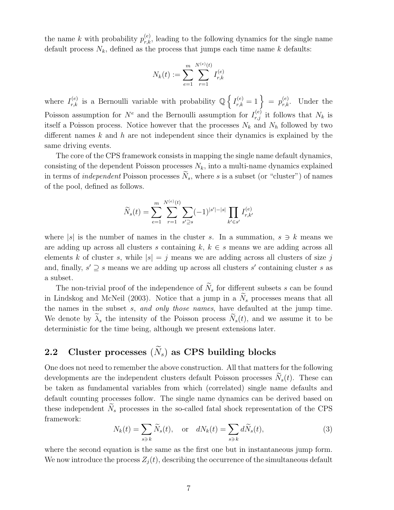the name k with probability  $p_{r,k}^{(e)}$ , leading to the following dynamics for the single name default process  $N_k$ , defined as the process that jumps each time name k defaults:

$$
N_k(t) := \sum_{e=1}^{m} \sum_{r=1}^{N^{(e)}(t)} I_{r,k}^{(e)}
$$

where  $I_{r,k}^{(e)}$  is a Bernoulli variable with probability Q n  $I_{r,k}^{(e)}$  $r_{r,k}^{(e)} = 1$  =  $p_{r,k}^{(e)}$ . Under the Poisson assumption for  $N^e$  and the Bernoulli assumption for  $I_{r,j}^{(e)}$  it follows that  $N_k$  is itself a Poisson process. Notice however that the processes  $N_k$  and  $N_h$  followed by two different names  $k$  and  $h$  are not independent since their dynamics is explained by the same driving events.

The core of the CPS framework consists in mapping the single name default dynamics, consisting of the dependent Poisson processes  $N_k$ , into a multi-name dynamics explained in terms of *independent* Poisson processes  $\tilde{N}_s$ , where s is a subset (or "cluster") of names of the pool, defined as follows.

$$
\widetilde{N}_s(t) = \sum_{e=1}^m \sum_{r=1}^{N^{(e)}(t)} \sum_{s' \supseteq s} (-1)^{|s'|-|s|} \prod_{k' \in s'} I_{r,k'}^{(e)}
$$

where  $|s|$  is the number of names in the cluster s. In a summation,  $s \ni k$  means we are adding up across all clusters s containing  $k, k \in s$  means we are adding across all elements k of cluster s, while  $|s| = j$  means we are adding across all clusters of size j and, finally,  $s' \supseteq s$  means we are adding up across all clusters s' containing cluster s as a subset.

The non-trivial proof of the independence of  $\widetilde{N}_s$  for different subsets s can be found in Lindskog and McNeil (2003). Notice that a jump in a  $\widetilde{N}_s$  processes means that all the names in the subset s, and only those names, have defaulted at the jump time. We denote by  $\widetilde{\lambda}_s$  the intensity of the Poisson process  $\widetilde{N}_s(t)$ , and we assume it to be deterministic for the time being, although we present extensions later.

# 2.2 Cluster processes  $(\widetilde{N}_s)$  as CPS building blocks

One does not need to remember the above construction. All that matters for the following developments are the independent clusters default Poisson processes  $\widetilde{N}_s(t)$ . These can be taken as fundamental variables from which (correlated) single name defaults and default counting processes follow. The single name dynamics can be derived based on these independent  $\widetilde{N}_s$  processes in the so-called fatal shock representation of the CPS framework:

$$
N_k(t) = \sum_{s \ni k} \widetilde{N}_s(t), \quad \text{or} \quad dN_k(t) = \sum_{s \ni k} d\widetilde{N}_s(t), \tag{3}
$$

where the second equation is the same as the first one but in instantaneous jump form. We now introduce the process  $Z_i(t)$ , describing the occurrence of the simultaneous default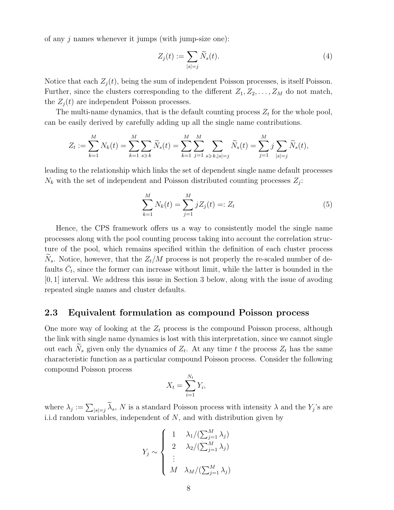of any  $j$  names whenever it jumps (with jump-size one):

$$
Z_j(t) := \sum_{|s|=j} \widetilde{N}_s(t). \tag{4}
$$

Notice that each  $Z_i(t)$ , being the sum of independent Poisson processes, is itself Poisson. Further, since the clusters corresponding to the different  $Z_1, Z_2, \ldots, Z_M$  do not match, the  $Z_i(t)$  are independent Poisson processes.

The multi-name dynamics, that is the default counting process  $Z_t$  for the whole pool, can be easily derived by carefully adding up all the single name contributions.

$$
Z_t := \sum_{k=1}^M N_k(t) = \sum_{k=1}^M \sum_{s \ni k} \widetilde{N}_s(t) = \sum_{k=1}^M \sum_{j=1}^M \sum_{s \ni k, |s|=j} \widetilde{N}_s(t) = \sum_{j=1}^M j \sum_{|s|=j} \widetilde{N}_s(t),
$$

leading to the relationship which links the set of dependent single name default processes  $N_k$  with the set of independent and Poisson distributed counting processes  $Z_j$ :

$$
\sum_{k=1}^{M} N_k(t) = \sum_{j=1}^{M} jZ_j(t) =: Z_t
$$
\n(5)

Hence, the CPS framework offers us a way to consistently model the single name processes along with the pool counting process taking into account the correlation structure of the pool, which remains specified within the definition of each cluster process  $N_s$ . Notice, however, that the  $Z_t/M$  process is not properly the re-scaled number of defaults  $\bar{C}_t$ , since the former can increase without limit, while the latter is bounded in the [0, 1] interval. We address this issue in Section 3 below, along with the issue of avoding repeated single names and cluster defaults.

#### 2.3 Equivalent formulation as compound Poisson process

One more way of looking at the  $Z_t$  process is the compound Poisson process, although the link with single name dynamics is lost with this interpretation, since we cannot single out each  $\widetilde{N}_s$  given only the dynamics of  $Z_t$ . At any time t the process  $Z_t$  has the same characteristic function as a particular compound Poisson process. Consider the following compound Poisson process

$$
X_t = \sum_{i=1}^{N_t} Y_i,
$$

where  $\lambda_j := \sum_{|s|=j} \widetilde{\lambda}_s$ , N is a standard Poisson process with intensity  $\lambda$  and the  $Y_j$ 's are i.i.d random variables, independent of N, and with distribution given by

$$
Y_j \sim \begin{cases} 1 & \lambda_1 / (\sum_{j=1}^M \lambda_j) \\ 2 & \lambda_2 / (\sum_{j=1}^M \lambda_j) \\ \vdots \\ M & \lambda_M / (\sum_{j=1}^M \lambda_j) \end{cases}
$$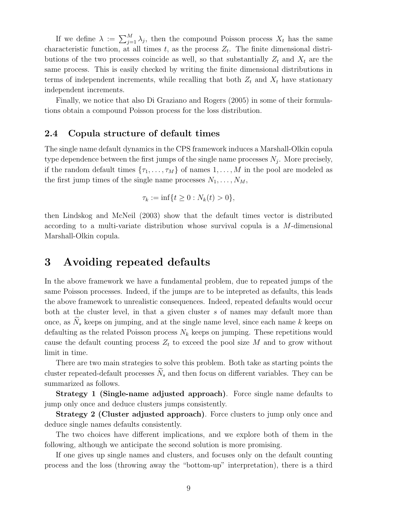If we define  $\lambda := \sum_{j=1}^{M} \lambda_j$ , then the compound Poisson process  $X_t$  has the same characteristic function, at all times t, as the process  $Z_t$ . The finite dimensional distributions of the two processes coincide as well, so that substantially  $Z_t$  and  $X_t$  are the same process. This is easily checked by writing the finite dimensional distributions in terms of independent increments, while recalling that both  $Z_t$  and  $X_t$  have stationary independent increments.

Finally, we notice that also Di Graziano and Rogers (2005) in some of their formulations obtain a compound Poisson process for the loss distribution.

#### 2.4 Copula structure of default times

The single name default dynamics in the CPS framework induces a Marshall-Olkin copula type dependence between the first jumps of the single name processes  $N_j$ . More precisely, if the random default times  $\{\tau_1, \ldots, \tau_M\}$  of names  $1, \ldots, M$  in the pool are modeled as the first jump times of the single name processes  $N_1, \ldots, N_M$ ,

$$
\tau_k := \inf\{t \ge 0 : N_k(t) > 0\},\
$$

then Lindskog and McNeil (2003) show that the default times vector is distributed according to a multi-variate distribution whose survival copula is a M-dimensional Marshall-Olkin copula.

### 3 Avoiding repeated defaults

In the above framework we have a fundamental problem, due to repeated jumps of the same Poisson processes. Indeed, if the jumps are to be intepreted as defaults, this leads the above framework to unrealistic consequences. Indeed, repeated defaults would occur both at the cluster level, in that a given cluster  $s$  of names may default more than once, as  $N_s$  keeps on jumping, and at the single name level, since each name k keeps on defaulting as the related Poisson process  $N_k$  keeps on jumping. These repetitions would cause the default counting process  $Z_t$  to exceed the pool size M and to grow without limit in time.

There are two main strategies to solve this problem. Both take as starting points the cluster repeated-default processes  $\widetilde{N}_s$  and then focus on different variables. They can be summarized as follows.

Strategy 1 (Single-name adjusted approach). Force single name defaults to jump only once and deduce clusters jumps consistently.

Strategy 2 (Cluster adjusted approach). Force clusters to jump only once and deduce single names defaults consistently.

The two choices have different implications, and we explore both of them in the following, although we anticipate the second solution is more promising.

If one gives up single names and clusters, and focuses only on the default counting process and the loss (throwing away the "bottom-up" interpretation), there is a third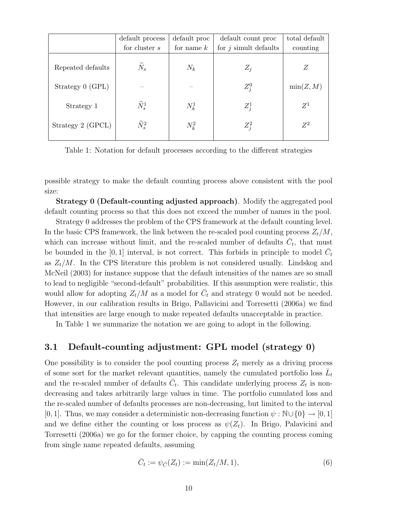|                   | default process     | default proc | default count proc      | total default |
|-------------------|---------------------|--------------|-------------------------|---------------|
|                   | for cluster $s$     | for name $k$ | for $j$ simult defaults | counting      |
| Repeated defaults | $\tilde{N}_s$       | $N_k$        | $Z_i$                   | Z             |
| Strategy 0 (GPL)  |                     |              | $Z_i^0$                 | min(Z, M)     |
| Strategy 1        | $\widetilde{N}^1_s$ | $N_k^1$      | $Z_i^1$                 | $Z^1$         |
| Strategy 2 (GPCL) | $\widetilde{N}_s^2$ | $N_k^2$      | $Z_i^2$                 | $Z^2$         |
|                   |                     |              |                         |               |

Table 1: Notation for default processes according to the different strategies

possible strategy to make the default counting process above consistent with the pool size:

Strategy 0 (Default-counting adjusted approach). Modify the aggregated pool default counting process so that this does not exceed the number of names in the pool.

Strategy 0 addresses the problem of the CPS framework at the default counting level. In the basic CPS framework, the link between the re-scaled pool counting process  $Z_t/M$ , which can increase without limit, and the re-scaled number of defaults  $\bar{C}_t$ , that must be bounded in the [0, 1] interval, is not correct. This forbids in principle to model  $\bar{C}_t$ as  $Z_t/M$ . In the CPS literature this problem is not considered usually. Lindskog and McNeil (2003) for instance suppose that the default intensities of the names are so small to lead to negligible "second-default" probabilities. If this assumption were realistic, this would allow for adopting  $Z_t/M$  as a model for  $\overline{C}_t$  and strategy 0 would not be needed. However, in our calibration results in Brigo, Pallavicini and Torresetti (2006a) we find that intensities are large enough to make repeated defaults unacceptable in practice.

In Table 1 we summarize the notation we are going to adopt in the following.

#### 3.1 Default-counting adjustment: GPL model (strategy 0)

One possibility is to consider the pool counting process  $Z_t$  merely as a driving process of some sort for the market relevant quantities, namely the cumulated portfolio loss  $\bar{L}_t$ and the re-scaled number of defaults  $\bar{C}_t$ . This candidate underlying process  $Z_t$  is nondecreasing and takes arbitrarily large values in time. The portfolio cumulated loss and the re-scaled number of defaults processes are non-decreasing, but limited to the interval [0, 1]. Thus, we may consider a deterministic non-decreasing function  $\psi : \mathbb{N} \cup \{0\} \to [0, 1]$ and we define either the counting or loss process as  $\psi(Z_t)$ . In Brigo, Palavicini and Torresetti (2006a) we go for the former choice, by capping the counting process coming from single name repeated defaults, assuming

$$
\bar{C}_t := \psi_{\bar{C}}(Z_t) := \min(Z_t/M, 1),\tag{6}
$$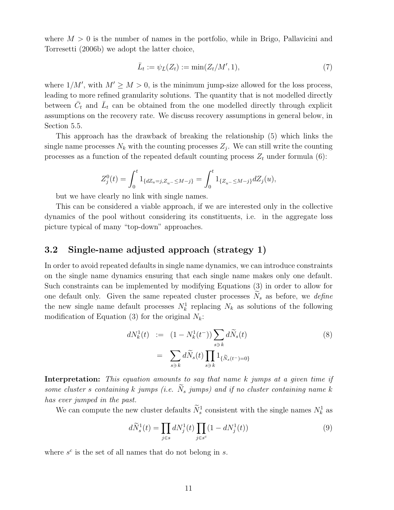where  $M > 0$  is the number of names in the portfolio, while in Brigo, Pallavicini and Torresetti (2006b) we adopt the latter choice,

$$
\bar{L}_t := \psi_{\bar{L}}(Z_t) := \min(Z_t/M', 1),\tag{7}
$$

where  $1/M'$ , with  $M' \geq M > 0$ , is the minimum jump-size allowed for the loss process, leading to more refined granularity solutions. The quantity that is not modelled directly between  $\bar{C}_t$  and  $\bar{L}_t$  can be obtained from the one modelled directly through explicit assumptions on the recovery rate. We discuss recovery assumptions in general below, in Section 5.5.

This approach has the drawback of breaking the relationship (5) which links the single name processes  $N_k$  with the counting processes  $Z_j$ . We can still write the counting processes as a function of the repeated default counting process  $Z_t$  under formula (6):

$$
Z_j^0(t) = \int_0^t 1_{\{dZ_u = j, Z_u - \le M - j\}} = \int_0^t 1_{\{Z_u - \le M - j\}} dZ_j(u),
$$

but we have clearly no link with single names.

This can be considered a viable approach, if we are interested only in the collective dynamics of the pool without considering its constituents, i.e. in the aggregate loss picture typical of many "top-down" approaches.

### 3.2 Single-name adjusted approach (strategy 1)

In order to avoid repeated defaults in single name dynamics, we can introduce constraints on the single name dynamics ensuring that each single name makes only one default. Such constraints can be implemented by modifying Equations (3) in order to allow for one default only. Given the same repeated cluster processes  $N_s$  as before, we *define* the new single name default processes  $N_k^1$  replacing  $N_k$  as solutions of the following modification of Equation (3) for the original  $N_k$ :

$$
dN_k^1(t) := (1 - N_k^1(t^-)) \sum_{s \ni k} d\widetilde{N}_s(t)
$$
  

$$
= \sum_{s \ni k} d\widetilde{N}_s(t) \prod_{s \ni k} 1_{\{\widetilde{N}_s(t^-)=0\}}
$$
 (8)

Interpretation: This equation amounts to say that name k jumps at a given time if some cluster s containing k jumps (i.e.  $N_s$  jumps) and if no cluster containing name k has ever jumped in the past.

We can compute the new cluster defaults  $\widetilde{N}_s^1$  consistent with the single names  $N_k^1$  as

$$
d\widetilde{N}_s^1(t) = \prod_{j \in s} dN_j^1(t) \prod_{j \in s^c} (1 - dN_j^1(t)) \tag{9}
$$

where  $s^c$  is the set of all names that do not belong in  $s$ .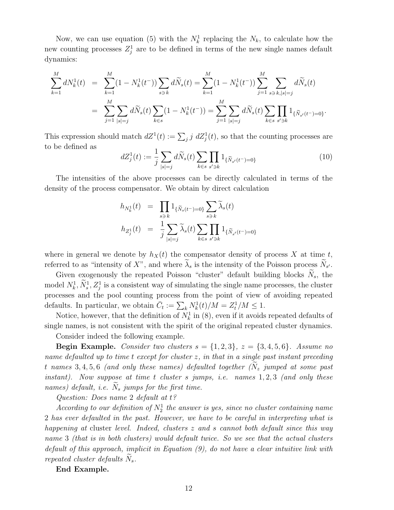Now, we can use equation (5) with the  $N_k^1$  replacing the  $N_k$ , to calculate how the new counting processes  $Z_j^1$  are to be defined in terms of the new single names default dynamics:

$$
\sum_{k=1}^{M} dN_k^1(t) = \sum_{k=1}^{M} (1 - N_k^1(t^-)) \sum_{s \ni k} d\widetilde{N}_s(t) = \sum_{k=1}^{M} (1 - N_k^1(t^-)) \sum_{j=1}^{M} \sum_{s \ni k, |s|=j} d\widetilde{N}_s(t)
$$
  

$$
= \sum_{j=1}^{M} \sum_{|s|=j} d\widetilde{N}_s(t) \sum_{k \in s} (1 - N_k^1(t^-)) = \sum_{j=1}^{M} \sum_{|s|=j} d\widetilde{N}_s(t) \sum_{k \in s} \prod_{s' \ni k} 1_{\{\widetilde{N}_{s'}(t^-)=0\}}.
$$

This expression should match  $dZ^1(t) := \sum_j j \ dZ_j^1(t)$ , so that the counting processes are to be defined as  $\overline{\phantom{a}}$  $\overline{\phantom{a}}$  $\overline{y}$ 

$$
dZ_j^1(t) := \frac{1}{j} \sum_{|s|=j} d\widetilde{N}_s(t) \sum_{k \in s} \prod_{s' \ni k} 1_{\{\widetilde{N}_{s'}(t^-) = 0\}} \tag{10}
$$

The intensities of the above processes can be directly calculated in terms of the density of the process compensator. We obtain by direct calculation

$$
h_{N_k^1}(t) = \prod_{s \ni k} 1_{\{\tilde{N}_s(t^-)=0\}} \sum_{s \ni k} \tilde{\lambda}_s(t)
$$
  

$$
h_{Z_j^1}(t) = \frac{1}{j} \sum_{|s|=j} \tilde{\lambda}_s(t) \sum_{k \in s} \prod_{s' \ni k} 1_{\{\tilde{N}_{s'}(t^-)=0\}}
$$

where in general we denote by  $h_X(t)$  the compensator density of process X at time t, referred to as "intensity of X", and where  $\widetilde{\lambda}_s$  is the intensity of the Poisson process  $\widetilde{N}_{s'}$ .

Given exogenously the repeated Poisson "cluster" default building blocks  $N_s$ , the model  $N_k^1$ ,  $\widetilde{N}_s^1$ ,  $Z_j^1$  is a consistent way of simulating the single name processes, the cluster processes and the pool counting process from the point of view of avoiding repeated processes and the poor counting process from the point of view of defaults. In particular, we obtain  $\overline{C}_t := \sum_k N_k^1(t)/M = Z_t^1/M \leq 1$ .

Notice, however, that the definition of  $N_k^1$  in (8), even if it avoids repeated defaults of single names, is not consistent with the spirit of the original repeated cluster dynamics.

Consider indeed the following example.

**Begin Example.** Consider two clusters  $s = \{1,2,3\}$ ,  $z = \{3,4,5,6\}$ . Assume no name defaulted up to time t except for cluster z, in that in a single past instant preceding t names 3, 4, 5, 6 (and only these names) defaulted together  $(N_z$  jumped at some past instant). Now suppose at time  $t$  cluster  $s$  jumps, i.e. names  $1, 2, 3$  (and only these names) default, i.e.  $\widetilde{N}_s$  jumps for the first time.

Question: Does name 2 default at t?

According to our definition of  $N_2^1$  the answer is yes, since no cluster containing name 2 has ever defaulted in the past. However, we have to be careful in interpreting what is happening at cluster level. Indeed, clusters z and s cannot both default since this way name 3 (that is in both clusters) would default twice. So we see that the actual clusters default of this approach, implicit in Equation (9), do not have a clear intuitive link with repeated cluster defaults  $N_s$ .

End Example.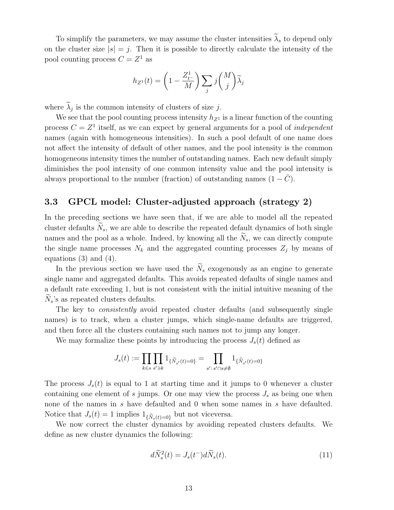To simplify the parameters, we may assume the cluster intensities  $\widetilde{\lambda}_s$  to depend only on the cluster size  $|s| = j$ . Then it is possible to directly calculate the intensity of the pool counting process  $C = Z^1$  as

$$
h_{Z^1}(t) = \left(1 - \frac{Z_{t^-}^1}{M}\right) \sum_j j \binom{M}{j} \widetilde{\lambda}_j
$$

where  $\tilde{\lambda}_j$  is the common intensity of clusters of size j.

We see that the pool counting process intensity  $h_{Z_1}$  is a linear function of the counting process  $C = Z<sup>1</sup>$  itself, as we can expect by general arguments for a pool of *independent* names (again with homogeneous intensities). In such a pool default of one name does not affect the intensity of default of other names, and the pool intensity is the common homogeneous intensity times the number of outstanding names. Each new default simply diminishes the pool intensity of one common intensity value and the pool intensity is always proportional to the number (fraction) of outstanding names  $(1 - \bar{C})$ .

#### 3.3 GPCL model: Cluster-adjusted approach (strategy 2)

In the preceding sections we have seen that, if we are able to model all the repeated cluster defaults  $N_s$ , we are able to describe the repeated default dynamics of both single names and the pool as a whole. Indeed, by knowing all the  $N_s$ , we can directly compute the single name processes  $N_k$  and the aggregated counting processes  $Z_i$  by means of equations  $(3)$  and  $(4)$ .

In the previous section we have used the  $\widetilde{N}_s$  exogenously as an engine to generate single name and aggregated defaults. This avoids repeated defaults of single names and a default rate exceeding 1, but is not consistent with the initial intuitive meaning of the  $N_s$ 's as repeated clusters defaults.

The key to *consistently* avoid repeated cluster defaults (and subsequently single names) is to track, when a cluster jumps, which single-name defaults are triggered, and then force all the clusters containing such names not to jump any longer.

We may formalize these points by introducing the process  $J_s(t)$  defined as

$$
J_s(t) := \prod_{k \in s} \prod_{s' \ni k} 1_{\{\tilde{N}_{s'}(t) = 0\}} = \prod_{s': \, s' \cap s \neq \emptyset} 1_{\{\tilde{N}_{s'}(t) = 0\}}
$$

The process  $J_s(t)$  is equal to 1 at starting time and it jumps to 0 whenever a cluster containing one element of s jumps. Or one may view the process  $J_s$  as being one when none of the names in s have defaulted and 0 when some names in s have defaulted. Notice that  $J_s(t) = 1$  implies  $1_{\{\tilde{N}_s(t)=0\}}$  but not viceversa.

We now correct the cluster dynamics by avoiding repeated clusters defaults. We define as new cluster dynamics the following:

$$
d\widetilde{N}_s^2(t) = J_s(t^-)d\widetilde{N}_s(t). \tag{11}
$$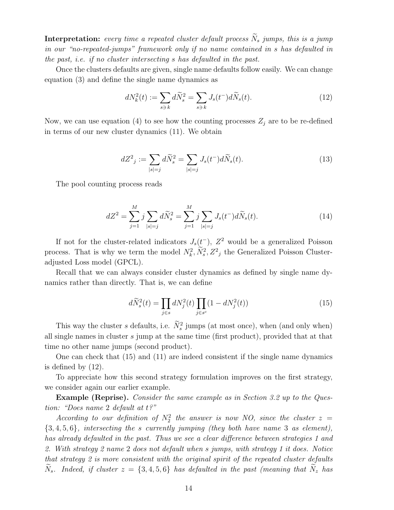**Interpretation:** every time a repeated cluster default process  $\widetilde{N}_s$  jumps, this is a jump in our "no-repeated-jumps" framework only if no name contained in s has defaulted in the past, i.e. if no cluster intersecting s has defaulted in the past.

Once the clusters defaults are given, single name defaults follow easily. We can change equation (3) and define the single name dynamics as

$$
dN_k^2(t) := \sum_{s \ni k} d\widetilde{N}_s^2 = \sum_{s \ni k} J_s(t^-) d\widetilde{N}_s(t). \tag{12}
$$

Now, we can use equation (4) to see how the counting processes  $Z_j$  are to be re-defined in terms of our new cluster dynamics (11). We obtain

$$
dZ_j^2 := \sum_{|s|=j} d\widetilde{N}_s^2 = \sum_{|s|=j} J_s(t^-) d\widetilde{N}_s(t).
$$
 (13)

The pool counting process reads

$$
dZ^{2} = \sum_{j=1}^{M} j \sum_{|s|=j} d\widetilde{N}_{s}^{2} = \sum_{j=1}^{M} j \sum_{|s|=j} J_{s}(t^{-}) d\widetilde{N}_{s}(t).
$$
 (14)

If not for the cluster-related indicators  $J_s(t^-)$ ,  $Z^2$  would be a generalized Poisson process. That is why we term the model  $N_k^2$ ,  $\widetilde{N}_s^2$ ,  $Z^2$ <sub>j</sub> the Generalized Poisson Clusteradjusted Loss model (GPCL).

Recall that we can always consider cluster dynamics as defined by single name dynamics rather than directly. That is, we can define

$$
d\widetilde{N}_s^2(t) = \prod_{j \in s} dN_j^2(t) \prod_{j \in s^c} (1 - dN_j^2(t))
$$
\n(15)

This way the cluster s defaults, i.e.  $\tilde{N}_s^2$  jumps (at most once), when (and only when) all single names in cluster s jump at the same time (first product), provided that at that time no other name jumps (second product).

One can check that (15) and (11) are indeed consistent if the single name dynamics is defined by (12).

To appreciate how this second strategy formulation improves on the first strategy, we consider again our earlier example.

Example (Reprise). Consider the same example as in Section 3.2 up to the Question: "Does name 2 default at t?"

According to our definition of  $N_2^2$  the answer is now NO, since the cluster  $z =$  ${3, 4, 5, 6}$ , intersecting the s currently jumping (they both have name 3 as element), has already defaulted in the past. Thus we see a clear difference between strategies 1 and 2. With strategy 2 name 2 does not default when s jumps, with strategy 1 it does. Notice that strategy 2 is more consistent with the original spirit of the repeated cluster defaults  $N_s$ . Indeed, if cluster  $z = \{3, 4, 5, 6\}$  has defaulted in the past (meaning that  $N_z$  has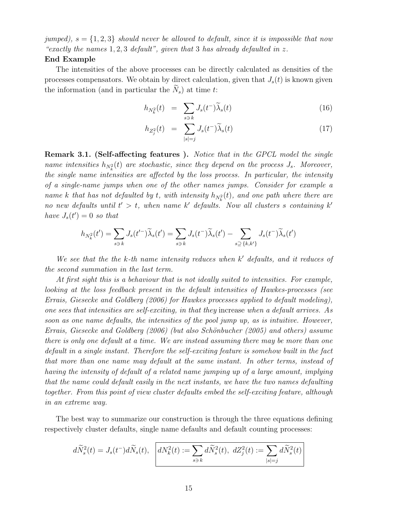jumped),  $s = \{1, 2, 3\}$  should never be allowed to default, since it is impossible that now "exactly the names  $1, 2, 3$  default", given that 3 has already defaulted in z.

#### End Example

The intensities of the above processes can be directly calculated as densities of the processes compensators. We obtain by direct calculation, given that  $J_s(t)$  is known given the information (and in particular the  $\widetilde{N}_s$ ) at time t:

$$
h_{N_k^2}(t) = \sum_{s \ni k} J_s(t^-) \widetilde{\lambda}_s(t) \tag{16}
$$

$$
h_{Z_j^2}(t) = \sum_{|s|=j}^{s=\kappa} J_s(t^-) \widetilde{\lambda}_s(t) \tag{17}
$$

**Remark 3.1. (Self-affecting features).** Notice that in the GPCL model the single name intensities  $h_{N_k^2}(t)$  are stochastic, since they depend on the process  $J_s$ . Moreover, the single name intensities are affected by the loss process. In particular, the intensity of a single-name jumps when one of the other names jumps. Consider for example a name k that has not defaulted by t, with intensity  $h_{N_k^2}(t)$ , and one path where there are no new defaults until  $t' > t$ , when name k' defaults. Now all clusters s containing k' have  $J_s(t')=0$  so that

$$
h_{N_k^2}(t') = \sum_{s \ni k} J_s(t'^{-}) \widetilde{\lambda}_s(t') = \sum_{s \ni k} J_s(t^{-}) \widetilde{\lambda}_s(t') - \sum_{s \supseteq \{k, k'\}} J_s(t^{-}) \widetilde{\lambda}_s(t')
$$

We see that the the k-th name intensity reduces when  $k'$  defaults, and it reduces of the second summation in the last term.

At first sight this is a behaviour that is not ideally suited to intensities. For example, looking at the loss feedback present in the default intensities of Hawkes-processes (see Errais, Giesecke and Goldberg (2006) for Hawkes processes applied to default modeling), one sees that intensities are self-exciting, in that they increase when a default arrives. As soon as one name defaults, the intensities of the pool jump up, as is intuitive. However, Errais, Giesecke and Goldberg (2006) (but also Schönbucher (2005) and others) assume there is only one default at a time. We are instead assuming there may be more than one default in a single instant. Therefore the self-exciting feature is somehow built in the fact that more than one name may default at the same instant. In other terms, instead of having the intensity of default of a related name jumping up of a large amount, implying that the name could default easily in the next instants, we have the two names defaulting together. From this point of view cluster defaults embed the self-exciting feature, although in an extreme way.

The best way to summarize our construction is through the three equations defining respectively cluster defaults, single name defaults and default counting processes:

$$
d\widetilde{N}_s^2(t)=J_s(t^-)d\widetilde{N}_s(t),\;\;\left[ dN_k^2(t):=\sum_{s\ni k}d\widetilde{N}_s^2(t),\;dZ_j^2(t):=\sum_{|s|=j}d\widetilde{N}_s^2(t)\right]
$$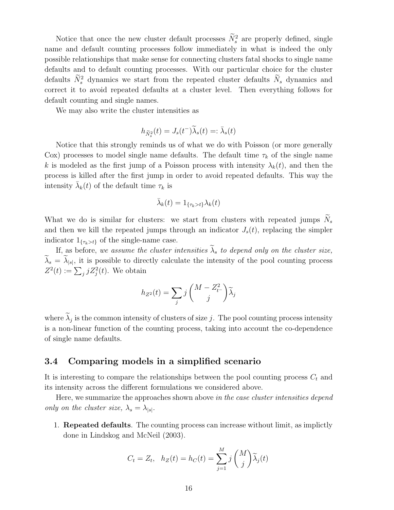Notice that once the new cluster default processes  $\widetilde{N}_s^2$  are properly defined, single name and default counting processes follow immediately in what is indeed the only possible relationships that make sense for connecting clusters fatal shocks to single name defaults and to default counting processes. With our particular choice for the cluster defaults  $\widetilde{N}_s^2$  dynamics we start from the repeated cluster defaults  $\widetilde{N}_s$  dynamics and correct it to avoid repeated defaults at a cluster level. Then everything follows for default counting and single names.

We may also write the cluster intensities as

$$
h_{\widetilde{N}_s^2}(t)=J_s(t^-)\widetilde{\lambda}_s(t)=:\bar{\lambda}_s(t)
$$

Notice that this strongly reminds us of what we do with Poisson (or more generally Cox) processes to model single name defaults. The default time  $\tau_k$  of the single name k is modeled as the first jump of a Poisson process with intensity  $\lambda_k(t)$ , and then the process is killed after the first jump in order to avoid repeated defaults. This way the intensity  $\bar{\lambda}_k(t)$  of the default time  $\tau_k$  is

$$
\bar{\lambda}_k(t) = 1_{\{\tau_k > t\}} \lambda_k(t)
$$

What we do is similar for clusters: we start from clusters with repeated jumps  $N_s$ and then we kill the repeated jumps through an indicator  $J_s(t)$ , replacing the simpler indicator  $1_{\{\tau_k > t\}}$  of the single-name case.

If, as before, we assume the cluster intensities  $\widetilde{\lambda}_s$  to depend only on the cluster size,  $\widetilde{\lambda}_s = \widetilde{\lambda}_{|s|}$ , it is possible to directly calculate the intensity of the pool counting process  $Z^2(t) := \sum_j j Z_j^2(t)$ . We obtain

$$
h_{Z^2}(t) = \sum_j j \binom{M - Z_{t^-}^2}{j} \widetilde{\lambda}_j
$$

where  $\widetilde{\lambda}_j$  is the common intensity of clusters of size j. The pool counting process intensity is a non-linear function of the counting process, taking into account the co-dependence of single name defaults.

#### 3.4 Comparing models in a simplified scenario

It is interesting to compare the relationships between the pool counting process  $C_t$  and its intensity across the different formulations we considered above.

Here, we summarize the approaches shown above in the case cluster intensities depend only on the cluster size,  $\lambda_s = \lambda_{|s|}$ .

1. Repeated defaults. The counting process can increase without limit, as implictly done in Lindskog and McNeil (2003).

$$
C_t = Z_t, \quad h_Z(t) = h_C(t) = \sum_{j=1}^{M} j \binom{M}{j} \widetilde{\lambda}_j(t)
$$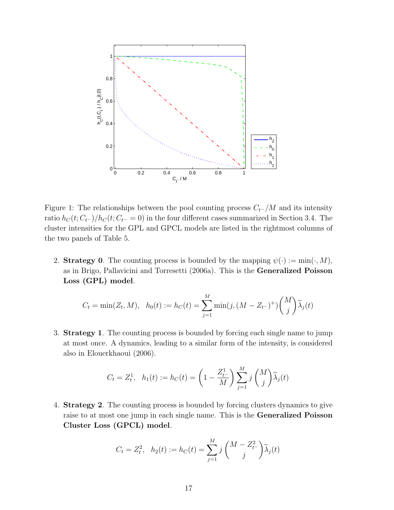

Figure 1: The relationships between the pool counting process  $C_{t^-}/M$  and its intensity ratio  $h_C(t; C_{t-})/h_C(t; C_{t-} = 0)$  in the four different cases summarized in Section 3.4. The cluster intensities for the GPL and GPCL models are listed in the rightmost columns of the two panels of Table 5.

2. Strategy 0. The counting process is bounded by the mapping  $\psi(\cdot) := \min(\cdot, M)$ , as in Brigo, Pallavicini and Torresetti (2006a). This is the Generalized Poisson Loss (GPL) model.

$$
C_t = \min(Z_t, M), \ \ h_0(t) := h_C(t) = \sum_{j=1}^M \min(j, (M - Z_{t-})^+) {M \choose j} \widetilde{\lambda}_j(t)
$$

3. Strategy 1. The counting process is bounded by forcing each single name to jump at most once. A dynamics, leading to a similar form of the intensity, is considered also in Elouerkhaoui (2006).

$$
C_t = Z_t^1
$$
,  $h_1(t) := h_C(t) = \left(1 - \frac{Z_{t-}^1}{M}\right) \sum_{j=1}^M j\binom{M}{j} \tilde{\lambda}_j(t)$ 

4. Strategy 2. The counting process is bounded by forcing clusters dynamics to give raise to at most one jump in each single name. This is the Generalized Poisson Cluster Loss (GPCL) model.

$$
C_t = Z_t^2
$$
,  $h_2(t) := h_C(t) = \sum_{j=1}^M j \binom{M - Z_{t-}^2}{j} \widetilde{\lambda}_j(t)$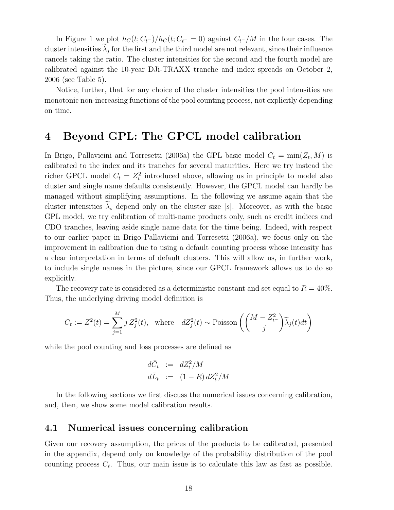In Figure 1 we plot  $h_C(t; C_{t-})/h_C(t; C_{t-} = 0)$  against  $C_{t-}/M$  in the four cases. The cluster intensities  $\widetilde{\lambda}_j$  for the first and the third model are not relevant, since their influence cancels taking the ratio. The cluster intensities for the second and the fourth model are calibrated against the 10-year DJi-TRAXX tranche and index spreads on October 2, 2006 (see Table 5).

Notice, further, that for any choice of the cluster intensities the pool intensities are monotonic non-increasing functions of the pool counting process, not explicitly depending on time.

### 4 Beyond GPL: The GPCL model calibration

In Brigo, Pallavicini and Torresetti (2006a) the GPL basic model  $C_t = \min(Z_t, M)$  is calibrated to the index and its tranches for several maturities. Here we try instead the richer GPCL model  $C_t = Z_t^2$  introduced above, allowing us in principle to model also cluster and single name defaults consistently. However, the GPCL model can hardly be managed without simplifying assumptions. In the following we assume again that the cluster intensities  $\tilde{\lambda}_s$  depend only on the cluster size |s|. Moreover, as with the basic GPL model, we try calibration of multi-name products only, such as credit indices and CDO tranches, leaving aside single name data for the time being. Indeed, with respect to our earlier paper in Brigo Pallavicini and Torresetti (2006a), we focus only on the improvement in calibration due to using a default counting process whose intensity has a clear interpretation in terms of default clusters. This will allow us, in further work, to include single names in the picture, since our GPCL framework allows us to do so explicitly.

The recovery rate is considered as a deterministic constant and set equal to  $R = 40\%$ . Thus, the underlying driving model definition is

$$
C_t := Z^2(t) = \sum_{j=1}^M j Z_j^2(t), \text{ where } dZ_j^2(t) \sim \text{Poisson}\left(\binom{M - Z_t^2}{j} \widetilde{\lambda}_j(t)dt\right)
$$

while the pool counting and loss processes are defined as

$$
d\bar{C}_t := dZ_t^2/M
$$
  

$$
d\bar{L}_t := (1 - R) dZ_t^2/M
$$

In the following sections we first discuss the numerical issues concerning calibration, and, then, we show some model calibration results.

#### 4.1 Numerical issues concerning calibration

Given our recovery assumption, the prices of the products to be calibrated, presented in the appendix, depend only on knowledge of the probability distribution of the pool counting process  $C_t$ . Thus, our main issue is to calculate this law as fast as possible.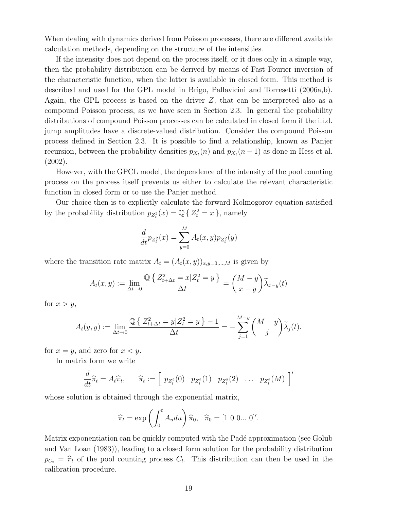When dealing with dynamics derived from Poisson processes, there are different available calculation methods, depending on the structure of the intensities.

If the intensity does not depend on the process itself, or it does only in a simple way, then the probability distribution can be derived by means of Fast Fourier inversion of the characteristic function, when the latter is available in closed form. This method is described and used for the GPL model in Brigo, Pallavicini and Torresetti (2006a,b). Again, the GPL process is based on the driver Z, that can be interpreted also as a compound Poisson process, as we have seen in Section 2.3. In general the probability distributions of compound Poisson processes can be calculated in closed form if the i.i.d. jump amplitudes have a discrete-valued distribution. Consider the compound Poisson process defined in Section 2.3. It is possible to find a relationship, known as Panjer recursion, between the probability densities  $p_{X_t}(n)$  and  $p_{X_t}(n-1)$  as done in Hess et al. (2002).

However, with the GPCL model, the dependence of the intensity of the pool counting process on the process itself prevents us either to calculate the relevant characteristic function in closed form or to use the Panjer method.

Our choice then is to explicitly calculate the forward Kolmogorov equation satisfied by the probability distribution  $p_{Z_t^2}(x) = \mathbb{Q} \{ Z_t^2 = x \}$ , namely

$$
\frac{d}{dt}p_{Z_t^2}(x) = \sum_{y=0}^{M} A_t(x, y)p_{Z_t^2}(y)
$$

where the transition rate matrix  $A_t = (A_t(x, y))_{x,y=0,...,M}$  is given by

$$
A_t(x,y) := \lim_{\Delta t \to 0} \frac{\mathbb{Q}\left\{Z_{t+\Delta t}^2 = x | Z_t^2 = y\right\}}{\Delta t} = \left(\frac{M-y}{x-y}\right) \widetilde{\lambda}_{x-y}(t)
$$

for  $x > y$ ,

$$
A_t(y,y) := \lim_{\Delta t \to 0} \frac{\mathbb{Q}\left\{Z_{t+\Delta t}^2 = y \mid Z_t^2 = y\right\} - 1}{\Delta t} = -\sum_{j=1}^{M-y} {M-y \choose j} \widetilde{\lambda}_j(t).
$$

for  $x = y$ , and zero for  $x < y$ .

In matrix form we write

$$
\frac{d}{dt}\widehat{\pi}_t = A_t\widehat{\pi}_t, \qquad \widehat{\pi}_t := \left[\begin{array}{cccc} p_{Z_t^2}(0) & p_{Z_t^2}(1) & p_{Z_t^2}(2) & \dots & p_{Z_t^2}(M) \end{array}\right]'
$$

whose solution is obtained through the exponential matrix,

$$
\widehat{\pi}_t = \exp\left(\int_0^t A_u du\right) \widehat{\pi}_0, \ \ \widehat{\pi}_0 = [1 \ 0 \ 0 \dots \ 0]'
$$

Matrix exponentiation can be quickly computed with the Padé approximation (see Golub and Van Loan (1983)), leading to a closed form solution for the probability distribution  $p_{C_t} = \hat{\pi}_t$  of the pool counting process  $C_t$ . This distribution can then be used in the calibration procedure.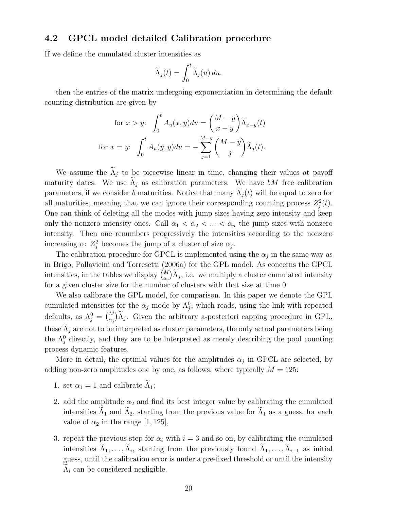#### 4.2 GPCL model detailed Calibration procedure

If we define the cumulated cluster intensities as

$$
\widetilde{\Lambda}_j(t) = \int_0^t \widetilde{\lambda}_j(u) \, du.
$$

then the entries of the matrix undergoing exponentiation in determining the default counting distribution are given by

for 
$$
x > y
$$
:  $\int_0^t A_u(x, y) du = \left(\frac{M-y}{x-y}\right) \widetilde{\Lambda}_{x-y}(t)$   
for  $x = y$ :  $\int_0^t A_u(y, y) du = -\sum_{j=1}^{M-y} \left(\frac{M-y}{j}\right) \widetilde{\Lambda}_j(t)$ .

We assume the  $\tilde{\Lambda}_j$  to be piecewise linear in time, changing their values at payoff maturity dates. We use  $\Lambda_j$  as calibration parameters. We have bM free calibration parameters, if we consider b maturities. Notice that many  $\tilde{\Lambda}_i(t)$  will be equal to zero for all maturities, meaning that we can ignore their corresponding counting process  $Z_j^2(t)$ . One can think of deleting all the modes with jump sizes having zero intensity and keep only the nonzero intensity ones. Call  $\alpha_1 < \alpha_2 < ... < \alpha_n$  the jump sizes with nonzero intensity. Then one renumbers progressively the intensities according to the nonzero increasing  $\alpha$ :  $Z_j^2$  becomes the jump of a cluster of size  $\alpha_j$ .

The calibration procedure for GPCL is implemented using the  $\alpha_j$  in the same way as in Brigo, Pallavicini and Torresetti (2006a) for the GPL model. As concerns the GPCL in Brigo, I and the tables we display  $\binom{M}{\alpha_j} \widetilde{\Lambda}_j$ , i.e. we multiply a cluster cumulated intensity for a given cluster size for the number of clusters with that size at time 0.

We also calibrate the GPL model, for comparison. In this paper we denote the GPL cumulated intensities for the  $\alpha_j$  mode by  $\Lambda_j^0$ , which reads, using the link with repeated defaults, as  $\Lambda_j^0 =$  $\frac{1}{M}$  $\alpha_j$  $\tilde{\Lambda}_j$ . Given the arbitrary a-posteriori capping procedure in GPL, these  $\Lambda_i$  are not to be interpreted as cluster parameters, the only actual parameters being the  $\Lambda_j^0$  directly, and they are to be interpreted as merely describing the pool counting process dynamic features.

More in detail, the optimal values for the amplitudes  $\alpha_j$  in GPCL are selected, by adding non-zero amplitudes one by one, as follows, where typically  $M = 125$ :

- 1. set  $\alpha_1 = 1$  and calibrate  $\widetilde{\Lambda}_1$ ;
- 2. add the amplitude  $\alpha_2$  and find its best integer value by calibrating the cumulated intensities  $\Lambda_1$  and  $\Lambda_2$ , starting from the previous value for  $\Lambda_1$  as a guess, for each value of  $\alpha_2$  in the range [1, 125],
- 3. repeat the previous step for  $\alpha_i$  with  $i = 3$  and so on, by calibrating the cumulated intensities  $\widetilde{\Lambda}_1, \ldots, \widetilde{\Lambda}_i$ , starting from the previously found  $\widetilde{\Lambda}_1, \ldots, \widetilde{\Lambda}_{i-1}$  as initial guess, until the calibration error is under a pre-fixed threshold or until the intensity  $\Lambda_i$  can be considered negligible.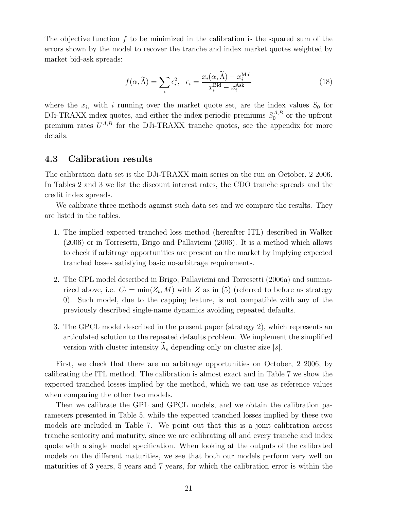The objective function  $f$  to be minimized in the calibration is the squared sum of the errors shown by the model to recover the tranche and index market quotes weighted by market bid-ask spreads:

$$
f(\alpha, \widetilde{\Lambda}) = \sum_{i} \epsilon_i^2, \quad \epsilon_i = \frac{x_i(\alpha, \widetilde{\Lambda}) - x_i^{\text{Mid}}}{x_i^{\text{Bid}} - x_i^{\text{Ask}}}
$$
(18)

where the  $x_i$ , with i running over the market quote set, are the index values  $S_0$  for DJi-TRAXX index quotes, and either the index periodic premiums  $S_0^{A,B}$  $_{0}^{A,B}$  or the upfront premium rates  $U^{A,B}$  for the DJi-TRAXX tranche quotes, see the appendix for more details.

#### 4.3 Calibration results

The calibration data set is the DJi-TRAXX main series on the run on October, 2 2006. In Tables 2 and 3 we list the discount interest rates, the CDO tranche spreads and the credit index spreads.

We calibrate three methods against such data set and we compare the results. They are listed in the tables.

- 1. The implied expected tranched loss method (hereafter ITL) described in Walker (2006) or in Torresetti, Brigo and Pallavicini (2006). It is a method which allows to check if arbitrage opportunities are present on the market by implying expected tranched losses satisfying basic no-arbitrage requirements.
- 2. The GPL model described in Brigo, Pallavicini and Torresetti (2006a) and summarized above, i.e.  $C_t = \min(Z_t, M)$  with Z as in (5) (referred to before as strategy 0). Such model, due to the capping feature, is not compatible with any of the previously described single-name dynamics avoiding repeated defaults.
- 3. The GPCL model described in the present paper (strategy 2), which represents an articulated solution to the repeated defaults problem. We implement the simplified version with cluster intensity  $\widetilde{\lambda}_s$  depending only on cluster size |s|.

First, we check that there are no arbitrage opportunities on October, 2 2006, by calibrating the ITL method. The calibration is almost exact and in Table 7 we show the expected tranched losses implied by the method, which we can use as reference values when comparing the other two models.

Then we calibrate the GPL and GPCL models, and we obtain the calibration parameters presented in Table 5, while the expected tranched losses implied by these two models are included in Table 7. We point out that this is a joint calibration across tranche seniority and maturity, since we are calibrating all and every tranche and index quote with a single model specification. When looking at the outputs of the calibrated models on the different maturities, we see that both our models perform very well on maturities of 3 years, 5 years and 7 years, for which the calibration error is within the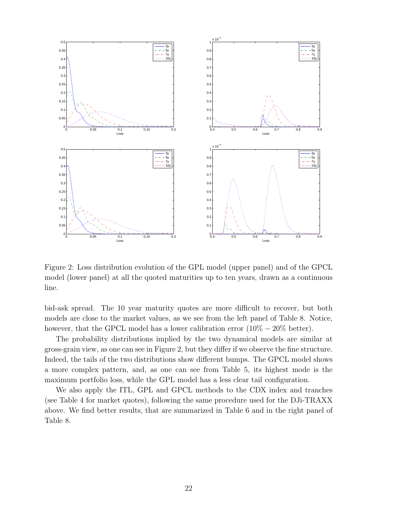

Figure 2: Loss distribution evolution of the GPL model (upper panel) and of the GPCL model (lower panel) at all the quoted maturities up to ten years, drawn as a continuous line.

bid-ask spread. The 10 year maturity quotes are more difficult to recover, but both models are close to the market values, as we see from the left panel of Table 8. Notice, however, that the GPCL model has a lower calibration error  $(10\% - 20\% \text{ better})$ .

The probability distributions implied by the two dynamical models are similar at gross-grain view, as one can see in Figure 2, but they differ if we observe the fine structure. Indeed, the tails of the two distributions show different bumps. The GPCL model shows a more complex pattern, and, as one can see from Table 5, its highest mode is the maximum portfolio loss, while the GPL model has a less clear tail configuration.

We also apply the ITL, GPL and GPCL methods to the CDX index and tranches (see Table 4 for market quotes), following the same procedure used for the DJi-TRAXX above. We find better results, that are summarized in Table 6 and in the right panel of Table 8.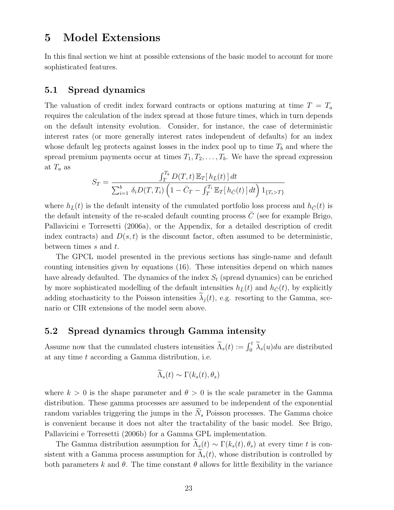## 5 Model Extensions

In this final section we hint at possible extensions of the basic model to account for more sophisticated features.

#### 5.1 Spread dynamics

The valuation of credit index forward contracts or options maturing at time  $T = T_a$ requires the calculation of the index spread at those future times, which in turn depends on the default intensity evolution. Consider, for instance, the case of deterministic interest rates (or more generally interest rates independent of defaults) for an index whose default leg protects against losses in the index pool up to time  $T<sub>b</sub>$  and where the spread premium payments occur at times  $T_1, T_2, \ldots, T_b$ . We have the spread expression at  $T_a$  as

$$
S_T = \frac{\int_T^{T_b} D(T,t) \mathbb{E}_T[h_{\bar{L}}(t)] dt}{\sum_{i=1}^b \delta_i D(T,T_i) \left(1 - \bar{C}_T - \int_T^{T_i} \mathbb{E}_T[h_{\bar{C}}(t)] dt\right) 1_{\{T_i > T\}}}
$$

where  $h_{\bar{L}}(t)$  is the default intensity of the cumulated portfolio loss process and  $h_{\bar{C}}(t)$  is the default intensity of the re-scaled default counting process  $\overline{C}$  (see for example Brigo, Pallavicini e Torresetti (2006a), or the Appendix, for a detailed description of credit index contracts) and  $D(s, t)$  is the discount factor, often assumed to be deterministic, between times s and t.

The GPCL model presented in the previous sections has single-name and default counting intensities given by equations (16). These intensities depend on which names have already defaulted. The dynamics of the index  $S_t$  (spread dynamics) can be enriched by more sophisticated modelling of the default intensities  $h_{\bar{L}}(t)$  and  $h_{\bar{C}}(t)$ , by explicitly adding stochasticity to the Poisson intensities  $\lambda_i(t)$ , e.g. resorting to the Gamma, scenario or CIR extensions of the model seen above.

#### 5.2 Spread dynamics through Gamma intensity

Assume now that the cumulated clusters intensities  $\widetilde{\Lambda}_s(t) := \int_0^t \widetilde{\lambda}_s(u) du$  are distributed at any time t according a Gamma distribution, i.e.

$$
\widetilde{\Lambda}_s(t) \sim \Gamma(k_s(t), \theta_s)
$$

where  $k > 0$  is the shape parameter and  $\theta > 0$  is the scale parameter in the Gamma distribution. These gamma processes are assumed to be independent of the exponential random variables triggering the jumps in the  $N_s$  Poisson processes. The Gamma choice is convenient because it does not alter the tractability of the basic model. See Brigo, Pallavicini e Torresetti (2006b) for a Gamma GPL implementation.

The Gamma distribution assumption for  $\tilde{\Lambda}_s(t) \sim \Gamma(k_s(t), \theta_s)$  at every time t is consistent with a Gamma process assumption for  $\Lambda_s(t)$ , whose distribution is controlled by both parameters k and  $\theta$ . The time constant  $\theta$  allows for little flexibility in the variance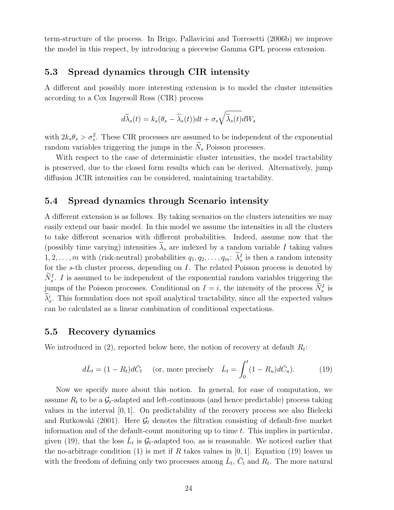term-structure of the process. In Brigo, Pallavicini and Torresetti (2006b) we improve the model in this respect, by introducing a piecewise Gamma GPL process extension.

#### 5.3 Spread dynamics through CIR intensity

A different and possibly more interesting extension is to model the cluster intensities according to a Cox Ingersoll Ross (CIR) process

$$
d\widetilde{\lambda}_s(t) = k_s(\theta_s - \widetilde{\lambda}_s(t))dt + \sigma_s \sqrt{\widetilde{\lambda}_s(t)}dW_s
$$

with  $2k_s\theta_s > \sigma_s^2$ . These CIR processes are assumed to be independent of the exponential random variables triggering the jumps in the  $N_s$  Poisson processes.

With respect to the case of deterministic cluster intensities, the model tractability is preserved, due to the closed form results which can be derived. Alternatively, jump diffusion JCIR intensities can be considered, maintaining tractability.

#### 5.4 Spread dynamics through Scenario intensity

A different extension is as follows. By taking scenarios on the clusters intensities we may easily extend our basic model. In this model we assume the intensities in all the clusters to take different scenarios with different probabilities. Indeed, assume now that the (possibly time varying) intensities  $\lambda_s$  are indexed by a random variable I taking values  $1, 2, \ldots, m$  with (risk-neutral) probabilities  $q_1, q_2, \ldots, q_m$ :  $\widetilde{\lambda}_s^I$  is then a random intensity for the s-th cluster process, depending on I. The related Poisson process is denoted by  $\widetilde{N}_s^I$ . I is assumed to be independent of the exponential random variables triggering the jumps of the Poisson processes. Conditional on  $I = i$ , the intensity of the process  $\widetilde{N}_s^I$  is  $\widetilde{\lambda}_s^i$ . This formulation does not spoil analytical tractability, since all the expected values can be calculated as a linear combination of conditional expectations.

#### 5.5 Recovery dynamics

We introduced in  $(2)$ , reported below here, the notion of recovery at default  $R_t$ :

$$
d\bar{L}_t = (1 - R_t)d\bar{C}_t \quad \text{(or, more precisely} \quad \bar{L}_t = \int_0^t (1 - R_u)d\bar{C}_u). \tag{19}
$$

Now we specify more about this notion. In general, for ease of computation, we assume  $R_t$  to be a  $\mathcal{G}_t$ -adapted and left-continuous (and hence predictable) process taking values in the interval [0, 1]. On predictability of the recovery process see also Bielecki and Rutkowski (2001). Here  $\mathcal{G}_t$  denotes the filtration consisting of default-free market information and of the default-count monitoring up to time  $t$ . This implies in particular, given (19), that the loss  $\bar{L}_t$  is  $\mathcal{G}_t$ -adapted too, as is reasonable. We noticed earlier that the no-arbitrage condition (1) is met if R takes values in [0, 1]. Equation (19) leaves us with the freedom of defining only two processes among  $\bar{L}_t$ ,  $\bar{C}_t$  and  $R_t$ . The more natural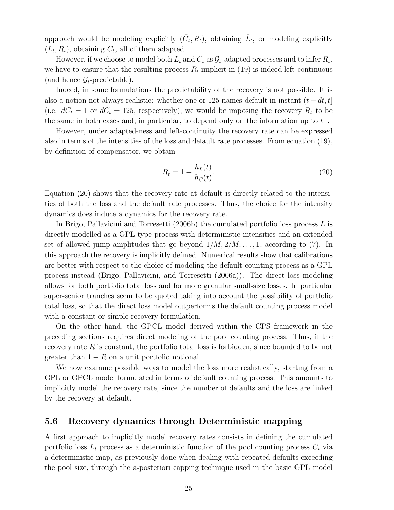approach would be modeling explicitly  $(\bar{C}_t, R_t)$ , obtaining  $\bar{L}_t$ , or modeling explicitly  $(\bar{L}_t, R_t)$ , obtaining  $\bar{C}_t$ , all of them adapted.

However, if we choose to model both  $\bar{L}_t$  and  $\bar{C}_t$  as  $\mathcal{G}_t$ -adapted processes and to infer  $R_t$ , we have to ensure that the resulting process  $R_t$  implicit in (19) is indeed left-continuous (and hence  $\mathcal{G}_t$ -predictable).

Indeed, in some formulations the predictability of the recovery is not possible. It is also a notion not always realistic: whether one or 125 names default in instant  $(t - dt, t]$ (i.e.  $dC_t = 1$  or  $dC_t = 125$ , respectively), we would be imposing the recovery  $R_t$  to be the same in both cases and, in particular, to depend only on the information up to  $t^-$ .

However, under adapted-ness and left-continuity the recovery rate can be expressed also in terms of the intensities of the loss and default rate processes. From equation (19), by definition of compensator, we obtain

$$
R_t = 1 - \frac{h_{\bar{L}}(t)}{h_{\bar{C}}(t)}.\tag{20}
$$

Equation (20) shows that the recovery rate at default is directly related to the intensities of both the loss and the default rate processes. Thus, the choice for the intensity dynamics does induce a dynamics for the recovery rate.

In Brigo, Pallavicini and Torresetti  $(2006b)$  the cumulated portfolio loss process L is directly modelled as a GPL-type process with deterministic intensities and an extended set of allowed jump amplitudes that go beyond  $1/M, 2/M, \ldots, 1$ , according to (7). In this approach the recovery is implicitly defined. Numerical results show that calibrations are better with respect to the choice of modeling the default counting process as a GPL process instead (Brigo, Pallavicini, and Torresetti (2006a)). The direct loss modeling allows for both portfolio total loss and for more granular small-size losses. In particular super-senior tranches seem to be quoted taking into account the possibility of portfolio total loss, so that the direct loss model outperforms the default counting process model with a constant or simple recovery formulation.

On the other hand, the GPCL model derived within the CPS framework in the preceding sections requires direct modeling of the pool counting process. Thus, if the recovery rate  $R$  is constant, the portfolio total loss is forbidden, since bounded to be not greater than  $1 - R$  on a unit portfolio notional.

We now examine possible ways to model the loss more realistically, starting from a GPL or GPCL model formulated in terms of default counting process. This amounts to implicitly model the recovery rate, since the number of defaults and the loss are linked by the recovery at default.

#### 5.6 Recovery dynamics through Deterministic mapping

A first approach to implicitly model recovery rates consists in defining the cumulated portfolio loss  $\bar{L}_t$  process as a deterministic function of the pool counting process  $\bar{C}_t$  via a deterministic map, as previously done when dealing with repeated defaults exceeding the pool size, through the a-posteriori capping technique used in the basic GPL model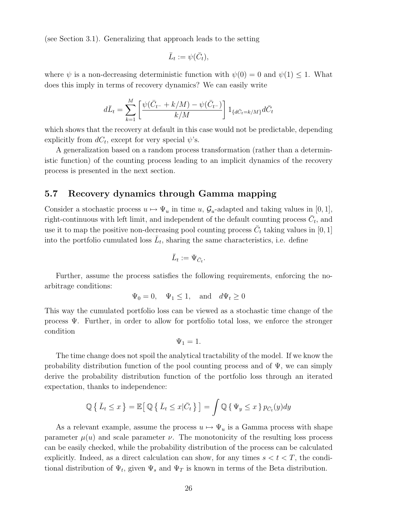(see Section 3.1). Generalizing that approach leads to the setting

$$
\bar{L}_t := \psi(\bar{C}_t),
$$

where  $\psi$  is a non-decreasing deterministic function with  $\psi(0) = 0$  and  $\psi(1) \leq 1$ . What does this imply in terms of recovery dynamics? We can easily write

$$
d\bar{L}_t = \sum_{k=1}^{M} \left[ \frac{\psi(\bar{C}_{t^-} + k/M) - \psi(\bar{C}_{t^-})}{k/M} \right] 1_{\{d\bar{C}_{t} = k/M\}} d\bar{C}_t
$$

which shows that the recovery at default in this case would not be predictable, depending explicitly from  $dC_t$ , except for very special  $\psi$ 's.

A generalization based on a random process transformation (rather than a deterministic function) of the counting process leading to an implicit dynamics of the recovery process is presented in the next section.

#### 5.7 Recovery dynamics through Gamma mapping

Consider a stochastic process  $u \mapsto \Psi_u$  in time u,  $\mathcal{G}_u$ -adapted and taking values in [0, 1], right-continuous with left limit, and independent of the default counting process  $\bar{C}_t$ , and use it to map the positive non-decreasing pool counting process  $\bar{C}_t$  taking values in [0, 1] into the portfolio cumulated loss  $\bar{L}_t$ , sharing the same characteristics, i.e. define

$$
\bar{L}_t:=\Psi_{\bar{C}_t}.
$$

Further, assume the process satisfies the following requirements, enforcing the noarbitrage conditions:

$$
\Psi_0 = 0
$$
,  $\Psi_1 \le 1$ , and  $d\Psi_t \ge 0$ 

This way the cumulated portfolio loss can be viewed as a stochastic time change of the process Ψ. Further, in order to allow for portfolio total loss, we enforce the stronger condition

$$
\Psi_1=1.
$$

The time change does not spoil the analytical tractability of the model. If we know the probability distribution function of the pool counting process and of  $\Psi$ , we can simply derive the probability distribution function of the portfolio loss through an iterated expectation, thanks to independence:

$$
\mathbb{Q}\left\{\left|\bar{L}_t \leq x\right.\right\} = \mathbb{E}\left[\mathbb{Q}\left\{\left|\bar{L}_t \leq x\right|\bar{C}_t\right.\right\}\right] = \int \mathbb{Q}\left\{\Psi_y \leq x\right\} p_{\bar{C}_t}(y) dy
$$

As a relevant example, assume the process  $u \mapsto \Psi_u$  is a Gamma process with shape parameter  $\mu(u)$  and scale parameter  $\nu$ . The monotonicity of the resulting loss process can be easily checked, while the probability distribution of the process can be calculated explicitly. Indeed, as a direct calculation can show, for any times  $s < t < T$ , the conditional distribution of  $\Psi_t$ , given  $\Psi_s$  and  $\Psi_T$  is known in terms of the Beta distribution.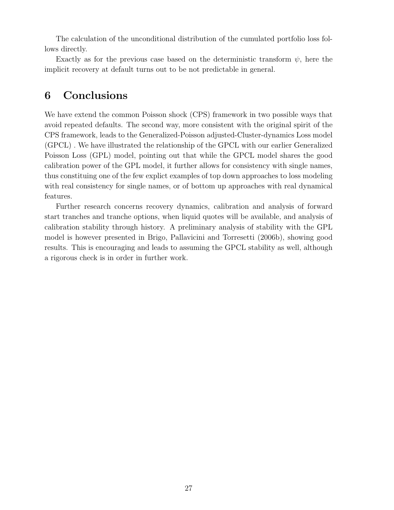The calculation of the unconditional distribution of the cumulated portfolio loss follows directly.

Exactly as for the previous case based on the deterministic transform  $\psi$ , here the implicit recovery at default turns out to be not predictable in general.

## 6 Conclusions

We have extend the common Poisson shock (CPS) framework in two possible ways that avoid repeated defaults. The second way, more consistent with the original spirit of the CPS framework, leads to the Generalized-Poisson adjusted-Cluster-dynamics Loss model (GPCL) . We have illustrated the relationship of the GPCL with our earlier Generalized Poisson Loss (GPL) model, pointing out that while the GPCL model shares the good calibration power of the GPL model, it further allows for consistency with single names, thus constituing one of the few explict examples of top down approaches to loss modeling with real consistency for single names, or of bottom up approaches with real dynamical features.

Further research concerns recovery dynamics, calibration and analysis of forward start tranches and tranche options, when liquid quotes will be available, and analysis of calibration stability through history. A preliminary analysis of stability with the GPL model is however presented in Brigo, Pallavicini and Torresetti (2006b), showing good results. This is encouraging and leads to assuming the GPCL stability as well, although a rigorous check is in order in further work.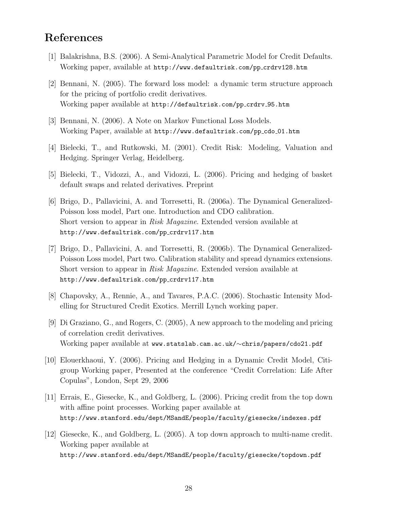## References

- [1] Balakrishna, B.S. (2006). A Semi-Analytical Parametric Model for Credit Defaults. Working paper, available at http://www.defaultrisk.com/pp crdrv128.htm
- [2] Bennani, N. (2005). The forward loss model: a dynamic term structure approach for the pricing of portfolio credit derivatives. Working paper available at http://defaultrisk.com/pp\_crdrv\_95.htm
- [3] Bennani, N. (2006). A Note on Markov Functional Loss Models. Working Paper, available at http://www.defaultrisk.com/pp\_cdo\_01.htm
- [4] Bielecki, T., and Rutkowski, M. (2001). Credit Risk: Modeling, Valuation and Hedging. Springer Verlag, Heidelberg.
- [5] Bielecki, T., Vidozzi, A., and Vidozzi, L. (2006). Pricing and hedging of basket default swaps and related derivatives. Preprint
- [6] Brigo, D., Pallavicini, A. and Torresetti, R. (2006a). The Dynamical Generalized-Poisson loss model, Part one. Introduction and CDO calibration. Short version to appear in Risk Magazine. Extended version available at http://www.defaultrisk.com/pp crdrv117.htm
- [7] Brigo, D., Pallavicini, A. and Torresetti, R. (2006b). The Dynamical Generalized-Poisson Loss model, Part two. Calibration stability and spread dynamics extensions. Short version to appear in Risk Magazine. Extended version available at http://www.defaultrisk.com/pp\_crdrv117.htm
- [8] Chapovsky, A., Rennie, A., and Tavares, P.A.C. (2006). Stochastic Intensity Modelling for Structured Credit Exotics. Merrill Lynch working paper.
- [9] Di Graziano, G., and Rogers, C. (2005), A new approach to the modeling and pricing of correlation credit derivatives. Working paper available at www.statslab.cam.ac.uk/∼chris/papers/cdo21.pdf
- [10] Elouerkhaoui, Y. (2006). Pricing and Hedging in a Dynamic Credit Model, Citigroup Working paper, Presented at the conference "Credit Correlation: Life After Copulas", London, Sept 29, 2006
- [11] Errais, E., Giesecke, K., and Goldberg, L. (2006). Pricing credit from the top down with affine point processes. Working paper available at http://www.stanford.edu/dept/MSandE/people/faculty/giesecke/indexes.pdf
- [12] Giesecke, K., and Goldberg, L. (2005). A top down approach to multi-name credit. Working paper available at http://www.stanford.edu/dept/MSandE/people/faculty/giesecke/topdown.pdf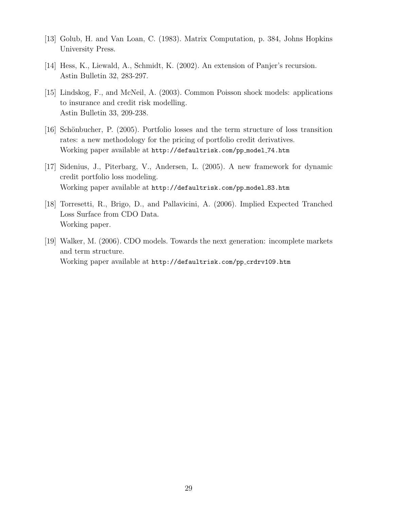- [13] Golub, H. and Van Loan, C. (1983). Matrix Computation, p. 384, Johns Hopkins University Press.
- [14] Hess, K., Liewald, A., Schmidt, K. (2002). An extension of Panjer's recursion. Astin Bulletin 32, 283-297.
- [15] Lindskog, F., and McNeil, A. (2003). Common Poisson shock models: applications to insurance and credit risk modelling. Astin Bulletin 33, 209-238.
- [16] Schönbucher, P. (2005). Portfolio losses and the term structure of loss transition rates: a new methodology for the pricing of portfolio credit derivatives. Working paper available at http://defaultrisk.com/pp model 74.htm
- [17] Sidenius, J., Piterbarg, V., Andersen, L. (2005). A new framework for dynamic credit portfolio loss modeling. Working paper available at http://defaultrisk.com/pp\_model\_83.htm
- [18] Torresetti, R., Brigo, D., and Pallavicini, A. (2006). Implied Expected Tranched Loss Surface from CDO Data. Working paper.
- [19] Walker, M. (2006). CDO models. Towards the next generation: incomplete markets and term structure. Working paper available at http://defaultrisk.com/pp\_crdrv109.htm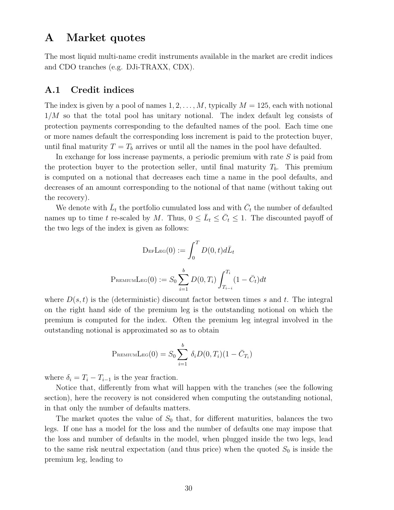### A Market quotes

The most liquid multi-name credit instruments available in the market are credit indices and CDO tranches (e.g. DJi-TRAXX, CDX).

#### A.1 Credit indices

The index is given by a pool of names  $1, 2, \ldots, M$ , typically  $M = 125$ , each with notional  $1/M$  so that the total pool has unitary notional. The index default leg consists of protection payments corresponding to the defaulted names of the pool. Each time one or more names default the corresponding loss increment is paid to the protection buyer, until final maturity  $T = T_b$  arrives or until all the names in the pool have defaulted.

In exchange for loss increase payments, a periodic premium with rate S is paid from the protection buyer to the protection seller, until final maturity  $T_b$ . This premium is computed on a notional that decreases each time a name in the pool defaults, and decreases of an amount corresponding to the notional of that name (without taking out the recovery).

We denote with  $\bar{L}_t$  the portfolio cumulated loss and with  $\bar{C}_t$  the number of defaulted names up to time t re-scaled by M. Thus,  $0 \leq \bar{L}_t \leq \bar{C}_t \leq 1$ . The discounted payoff of the two legs of the index is given as follows:

$$
\text{DefLeg}(0) := \int_0^T D(0, t) d\bar{L}_t
$$

$$
\text{PreminLeg}(0) := S_0 \sum_{i=1}^b D(0, T_i) \int_{T_{i-i}}^{T_i} (1 - \bar{C}_t) dt
$$

where  $D(s, t)$  is the (deterministic) discount factor between times s and t. The integral on the right hand side of the premium leg is the outstanding notional on which the premium is computed for the index. Often the premium leg integral involved in the outstanding notional is approximated so as to obtain

$$
P_{REMIUMLEG}(0) = S_0 \sum_{i=1}^{b} \delta_i D(0, T_i) (1 - \bar{C}_{T_i})
$$

where  $\delta_i = T_i - T_{i-1}$  is the year fraction.

Notice that, differently from what will happen with the tranches (see the following section), here the recovery is not considered when computing the outstanding notional, in that only the number of defaults matters.

The market quotes the value of  $S_0$  that, for different maturities, balances the two legs. If one has a model for the loss and the number of defaults one may impose that the loss and number of defaults in the model, when plugged inside the two legs, lead to the same risk neutral expectation (and thus price) when the quoted  $S_0$  is inside the premium leg, leading to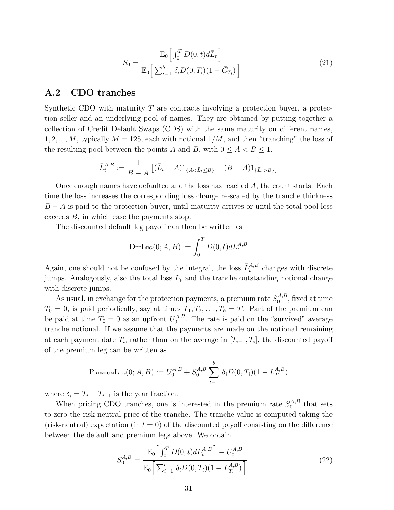$$
S_0 = \frac{\mathbb{E}_0\left[\int_0^T D(0, t) d\bar{L}_t\right]}{\mathbb{E}_0\left[\sum_{i=1}^b \delta_i D(0, T_i)(1 - \bar{C}_{T_i})\right]}
$$
(21)

#### A.2 CDO tranches

Synthetic CDO with maturity  $T$  are contracts involving a protection buyer, a protection seller and an underlying pool of names. They are obtained by putting together a collection of Credit Default Swaps (CDS) with the same maturity on different names, 1, 2, ..., M, typically  $M = 125$ , each with notional  $1/M$ , and then "tranching" the loss of the resulting pool between the points A and B, with  $0 \leq A < B \leq 1$ .

$$
\bar{L}_{t}^{A,B} := \frac{1}{B-A} \left[ (\bar{L}_{t} - A) 1_{\{A < \bar{L}_{t} \le B\}} + (B - A) 1_{\{\bar{L}_{t} > B\}} \right]
$$

Once enough names have defaulted and the loss has reached A, the count starts. Each time the loss increases the corresponding loss change re-scaled by the tranche thickness  $B - A$  is paid to the protection buyer, until maturity arrives or until the total pool loss exceeds B, in which case the payments stop.

The discounted default leg payoff can then be written as

$$
\mathrm{DefL}_{\mathrm{EG}}(0;A,B) := \int_0^T D(0,t) d\bar{L}_t^{A,B}
$$

Again, one should not be confused by the integral, the loss  $\bar{L}^{A,B}_t$  changes with discrete jumps. Analogously, also the total loss  $\bar{L}_t$  and the tranche outstanding notional change with discrete jumps.

As usual, in exchange for the protection payments, a premium rate  $S_0^{A,B}$  $_{0}^{A,B}$ , fixed at time  $T_0 = 0$ , is paid periodically, say at times  $T_1, T_2, \ldots, T_b = T$ . Part of the premium can be paid at time  $T_0 = 0$  as an upfront  $U_0^{A,B}$  $_{0}^{A,B}$ . The rate is paid on the "survived" average tranche notional. If we assume that the payments are made on the notional remaining at each payment date  $T_i$ , rather than on the average in  $[T_{i-1}, T_i]$ , the discounted payoff of the premium leg can be written as

$$
P_{REMIUMLEG}(0; A, B) := U_0^{A,B} + S_0^{A,B} \sum_{i=1}^b \delta_i D(0, T_i) (1 - \bar{L}_{T_i}^{A,B})
$$

where  $\delta_i = T_i - T_{i-1}$  is the year fraction.

When pricing CDO tranches, one is interested in the premium rate  $S_0^{A,B}$  $_{0}^{A,B}$  that sets to zero the risk neutral price of the tranche. The tranche value is computed taking the (risk-neutral) expectation (in  $t = 0$ ) of the discounted payoff consisting on the difference between the default and premium legs above. We obtain

$$
S_0^{A,B} = \frac{\mathbb{E}_0\left[\int_0^T D(0,t)d\bar{L}_t^{A,B}\right] - U_0^{A,B}}{\mathbb{E}_0\left[\sum_{i=1}^b \delta_i D(0,T_i)(1-\bar{L}_{T_i}^{A,B})\right]}
$$
(22)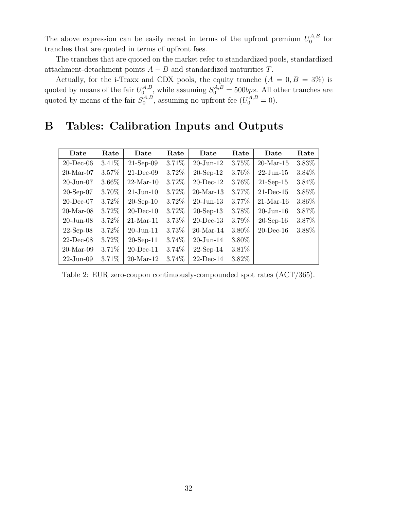The above expression can be easily recast in terms of the upfront premium  $U_0^{A,B}$  $\int_0^{A,B}$  for tranches that are quoted in terms of upfront fees.

The tranches that are quoted on the market refer to standardized pools, standardized attachment-detachment points  $A - B$  and standardized maturities  $T$ .

Actually, for the i-Traxx and CDX pools, the equity tranche  $(A = 0, B = 3\%)$  is quoted by means of the fair  $U_0^{A,B}$  $S_0^{A,B}$ , while assuming  $S_0^{A,B} = 500bps$ . All other tranches are quoted by means of the fair  $S_0^{A,B}$  $_{0}^{A,B}$ , assuming no upfront fee  $(U_{0}^{A,B}=0)$ .

# B Tables: Calibration Inputs and Outputs

| Date                   | Rate     | Date            | Rate     | Date                   | Rate   | Date          | Rate   |
|------------------------|----------|-----------------|----------|------------------------|--------|---------------|--------|
| $20$ -Dec-06           | $3.41\%$ | $21-Sep-09$     | $3.71\%$ | $20$ -Jun-12           | 3.75%  | $20$ -Mar-15  | 3.83%  |
| $20$ -Mar-07           | 3.57%    | $21$ -Dec-09    | 3.72\%   | $20$ -Sep-12           | 3.76%  | $22$ -Jun-15  | 3.84\% |
| $20 - \text{Jun} - 07$ | $3.66\%$ | $22$ -Mar-10    | 3.72\%   | $20$ -Dec-12           | 3.76\% | $21-Sep-15$   | 3.84\% |
| $20-Sep-07$            | 3.70%    | $21-J$ un- $10$ | 3.72\%   | $20$ -Mar-13           | 3.77%  | $21$ -Dec-15  | 3.85%  |
| $20$ -Dec-07           | 3.72\%   | $20$ -Sep-10    | 3.72\%   | $20 - \text{Jun} - 13$ | 3.77%  | $21-Mar-16$   | 3.86%  |
| $20$ -Mar-08           | 3.72\%   | $20$ -Dec-10    | 3.72\%   | $20$ -Sep-13           | 3.78%  | $20 - Jun-16$ | 3.87%  |
| $20 - J$ un $-08$      | 3.72\%   | $21-Mar-11$     | 3.73%    | $20$ -Dec-13           | 3.79%  | $20$ -Sep-16  | 3.87%  |
| $22$ -Sep-08           | 3.72\%   | $20 - Jun-11$   | 3.73%    | $20$ -Mar-14           | 3.80%  | $20$ -Dec-16  | 3.88%  |
| $22$ -Dec-08           | 3.72\%   | $20$ -Sep-11    | $3.74\%$ | $20$ -Jun-14           | 3.80%  |               |        |
| $20$ -Mar-09           | 3.71\%   | $20$ -Dec-11    | 3.74\%   | $22-Sep-14$            | 3.81%  |               |        |
| $22 - Jun-09$          | 3.71\%   | $20$ -Mar-12    | 3.74%    | $22$ -Dec-14           | 3.82%  |               |        |

Table 2: EUR zero-coupon continuously-compounded spot rates (ACT/365).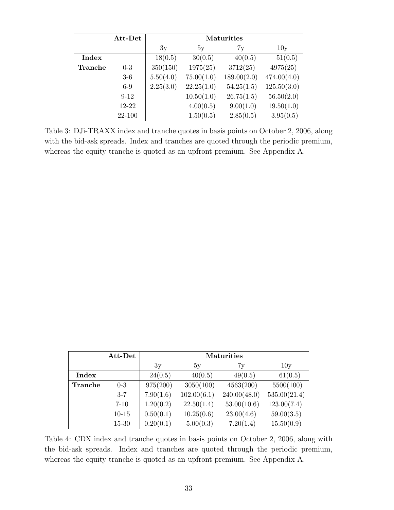|                | Att-Det  |           | <b>Maturities</b> |             |             |  |  |  |  |
|----------------|----------|-----------|-------------------|-------------|-------------|--|--|--|--|
|                |          | 3y        | 5y                | 7y          | 10y         |  |  |  |  |
| Index          |          | 18(0.5)   | 30(0.5)           | 40(0.5)     | 51(0.5)     |  |  |  |  |
| <b>Tranche</b> | $0-3$    | 350(150)  | 1975(25)          | 3712(25)    | 4975(25)    |  |  |  |  |
|                | $3-6$    | 5.50(4.0) | 75.00(1.0)        | 189.00(2.0) | 474.00(4.0) |  |  |  |  |
|                | $6 - 9$  | 2.25(3.0) | 22.25(1.0)        | 54.25(1.5)  | 125.50(3.0) |  |  |  |  |
|                | $9 - 12$ |           | 10.50(1.0)        | 26.75(1.5)  | 56.50(2.0)  |  |  |  |  |
|                | 12-22    |           | 4.00(0.5)         | 9.00(1.0)   | 19.50(1.0)  |  |  |  |  |
|                | 22-100   |           | 1.50(0.5)         | 2.85(0.5)   | 3.95(0.5)   |  |  |  |  |

Table 3: DJi-TRAXX index and tranche quotes in basis points on October 2, 2006, along with the bid-ask spreads. Index and tranches are quoted through the periodic premium, whereas the equity tranche is quoted as an upfront premium. See Appendix A.

|         | Att-Det   |           | <b>Maturities</b> |              |              |  |  |  |  |
|---------|-----------|-----------|-------------------|--------------|--------------|--|--|--|--|
|         |           | 3y        | 5y                | 7y           | 10y          |  |  |  |  |
| Index   |           | 24(0.5)   | 40(0.5)           | 49(0.5)      | 61(0.5)      |  |  |  |  |
| Tranche | $0-3$     | 975(200)  | 3050(100)         | 4563(200)    | 5500(100)    |  |  |  |  |
|         | $3 - 7$   | 7.90(1.6) | 102.00(6.1)       | 240.00(48.0) | 535.00(21.4) |  |  |  |  |
|         | $7 - 10$  | 1.20(0.2) | 22.50(1.4)        | 53.00(10.6)  | 123.00(7.4)  |  |  |  |  |
|         | $10 - 15$ | 0.50(0.1) | 10.25(0.6)        | 23.00(4.6)   | 59.00(3.5)   |  |  |  |  |
|         | $15 - 30$ | 0.20(0.1) | 5.00(0.3)         | 7.20(1.4)    | 15.50(0.9)   |  |  |  |  |

Table 4: CDX index and tranche quotes in basis points on October 2, 2006, along with the bid-ask spreads. Index and tranches are quoted through the periodic premium, whereas the equity tranche is quoted as an upfront premium. See Appendix A.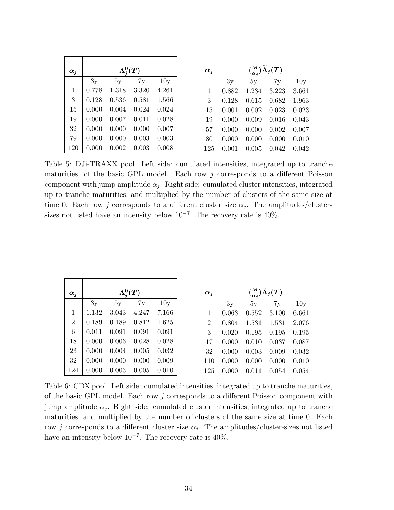| $\alpha_i$ | $\Lambda^0_i(T)$ |       |       |       |  |  |  |  |  |
|------------|------------------|-------|-------|-------|--|--|--|--|--|
|            | 3y               | 5y    | 7y    | 10y   |  |  |  |  |  |
| 1          | 0.778            | 1.318 | 3.320 | 4.261 |  |  |  |  |  |
| 3          | 0.128            | 0.536 | 0.581 | 1.566 |  |  |  |  |  |
| 15         | 0.000            | 0.004 | 0.024 | 0.024 |  |  |  |  |  |
| 19         | 0.000            | 0.007 | 0.011 | 0.028 |  |  |  |  |  |
| 32         | 0.000            | 0.000 | 0.000 | 0.007 |  |  |  |  |  |
| 79         | 0.000            | 0.000 | 0.003 | 0.003 |  |  |  |  |  |
| 120        | 0.000            | 0.002 | 0.003 | 0.008 |  |  |  |  |  |

| $\alpha_i$ | ${M \choose \alpha_i} \widetilde{\Lambda}_j(T)$ |       |       |       |  |  |  |  |  |
|------------|-------------------------------------------------|-------|-------|-------|--|--|--|--|--|
|            | 3y                                              | 5y    | 7y    | 10y   |  |  |  |  |  |
| 1          | 0.882                                           | 1.234 | 3.223 | 3.661 |  |  |  |  |  |
| 3          | 0.128                                           | 0.615 | 0.682 | 1.963 |  |  |  |  |  |
| 15         | 0.001                                           | 0.002 | 0.023 | 0.023 |  |  |  |  |  |
| 19         | 0.000                                           | 0.009 | 0.016 | 0.043 |  |  |  |  |  |
| 57         | 0.000                                           | 0.000 | 0.002 | 0.007 |  |  |  |  |  |
| 80         | 0.000                                           | 0.000 | 0.000 | 0.010 |  |  |  |  |  |
| 125        | 0.001                                           | 0.005 | 0.042 | 0.042 |  |  |  |  |  |

Table 5: DJi-TRAXX pool. Left side: cumulated intensities, integrated up to tranche maturities, of the basic GPL model. Each row  $j$  corresponds to a different Poisson component with jump amplitude  $\alpha_j$ . Right side: cumulated cluster intensities, integrated up to tranche maturities, and multiplied by the number of clusters of the same size at time 0. Each row j corresponds to a different cluster size  $\alpha_j$ . The amplitudes/clustersizes not listed have an intensity below  $10^{-7}$ . The recovery rate is 40%.

| $\alpha_i$     |       | $\Lambda^0_i(T)$ |       |       |  | $\alpha_i$     |       |       | $\binom{M}{\alpha_i}\widetilde{\Lambda}_j(T)$ |       |
|----------------|-------|------------------|-------|-------|--|----------------|-------|-------|-----------------------------------------------|-------|
|                | 3y    | 5y               | 7y    | 10y   |  |                | 3y    | 5y    | 7y                                            | 10y   |
| $\mathbf{1}$   | 1.132 | 3.043            | 4.247 | 7.166 |  |                | 0.063 | 0.552 | 3.100                                         | 6.661 |
| $\overline{2}$ | 0.189 | 0.189            | 0.812 | 1.625 |  | $\overline{2}$ | 0.804 | 1.531 | 1.531                                         | 2.076 |
| 6              | 0.011 | 0.091            | 0.091 | 0.091 |  | 3              | 0.020 | 0.195 | 0.195                                         | 0.195 |
| 18             | 0.000 | 0.006            | 0.028 | 0.028 |  | 17             | 0.000 | 0.010 | 0.037                                         | 0.087 |
| 23             | 0.000 | 0.004            | 0.005 | 0.032 |  | 32             | 0.000 | 0.003 | 0.009                                         | 0.032 |
| 32             | 0.000 | 0.000            | 0.000 | 0.009 |  | 110            | 0.000 | 0.000 | 0.000                                         | 0.010 |
| 124            | 0.000 | 0.003            | 0.005 | 0.010 |  | 125            | 0.000 | 0.011 | 0.054                                         | 0.054 |

Table 6: CDX pool. Left side: cumulated intensities, integrated up to tranche maturities, of the basic GPL model. Each row j corresponds to a different Poisson component with jump amplitude  $\alpha_j$ . Right side: cumulated cluster intensities, integrated up to tranche maturities, and multiplied by the number of clusters of the same size at time 0. Each row j corresponds to a different cluster size  $\alpha_j$ . The amplitudes/cluster-sizes not listed have an intensity below  $10^{-7}$ . The recovery rate is 40%.